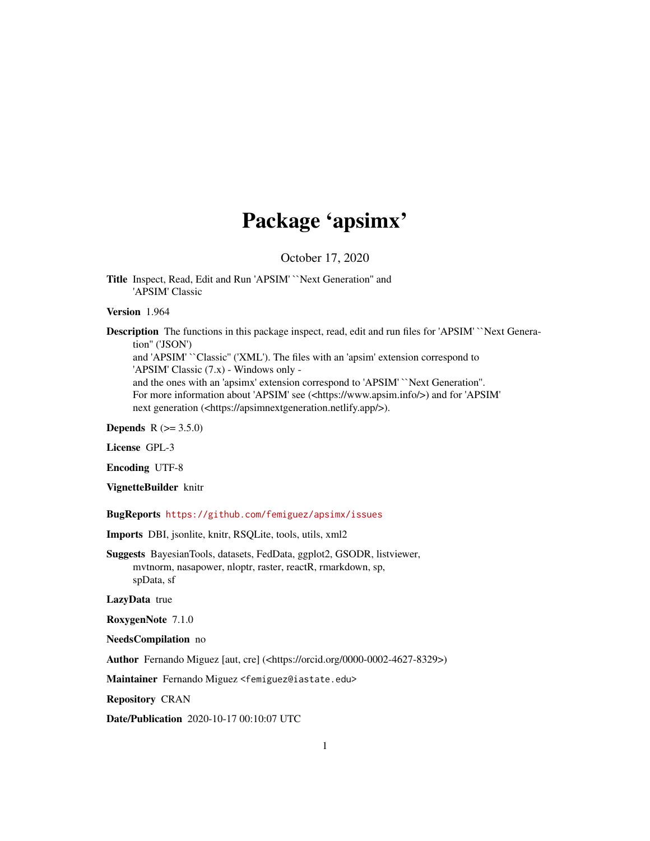# Package 'apsimx'

October 17, 2020

<span id="page-0-0"></span>Title Inspect, Read, Edit and Run 'APSIM' ``Next Generation'' and 'APSIM' Classic

Version 1.964

Description The functions in this package inspect, read, edit and run files for 'APSIM' "Next Generation'' ('JSON') and 'APSIM' ``Classic'' ('XML'). The files with an 'apsim' extension correspond to

'APSIM' Classic (7.x) - Windows only -

and the ones with an 'apsimx' extension correspond to 'APSIM' ``Next Generation''. For more information about 'APSIM' see (<https://www.apsim.info/>) and for 'APSIM' next generation (<https://apsimnextgeneration.netlify.app/>).

**Depends**  $R (= 3.5.0)$ 

License GPL-3

Encoding UTF-8

VignetteBuilder knitr

BugReports <https://github.com/femiguez/apsimx/issues>

Imports DBI, jsonlite, knitr, RSQLite, tools, utils, xml2

Suggests BayesianTools, datasets, FedData, ggplot2, GSODR, listviewer, mvtnorm, nasapower, nloptr, raster, reactR, rmarkdown, sp, spData, sf

LazyData true

RoxygenNote 7.1.0

NeedsCompilation no

Author Fernando Miguez [aut, cre] (<https://orcid.org/0000-0002-4627-8329>)

Maintainer Fernando Miguez <femiguez@iastate.edu>

Repository CRAN

Date/Publication 2020-10-17 00:10:07 UTC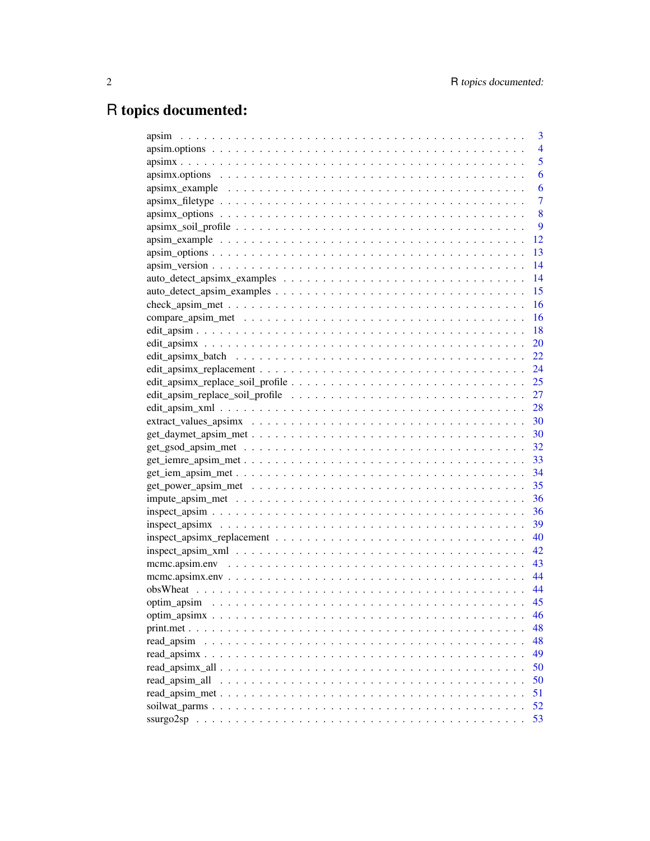# R topics documented:

| 3                                                                                                                          |
|----------------------------------------------------------------------------------------------------------------------------|
| $\overline{4}$                                                                                                             |
| 5                                                                                                                          |
| 6                                                                                                                          |
| 6                                                                                                                          |
| $\overline{7}$                                                                                                             |
| 8                                                                                                                          |
| 9                                                                                                                          |
| 12                                                                                                                         |
| 13                                                                                                                         |
| 14                                                                                                                         |
| 14                                                                                                                         |
| 15                                                                                                                         |
| 16                                                                                                                         |
| 16                                                                                                                         |
| 18                                                                                                                         |
| 20                                                                                                                         |
| 22                                                                                                                         |
| 24<br>$edit\_apsimx\_replacement \dots \dots \dots \dots \dots \dots \dots \dots \dots \dots \dots \dots \dots$            |
|                                                                                                                            |
|                                                                                                                            |
|                                                                                                                            |
|                                                                                                                            |
|                                                                                                                            |
|                                                                                                                            |
|                                                                                                                            |
|                                                                                                                            |
| 35                                                                                                                         |
| 36                                                                                                                         |
| 36                                                                                                                         |
| 39<br>$inspect_apsimx \dots \dots \dots \dots \dots \dots \dots \dots \dots \dots \dots \dots \dots \dots \dots \dots$     |
|                                                                                                                            |
|                                                                                                                            |
|                                                                                                                            |
|                                                                                                                            |
|                                                                                                                            |
|                                                                                                                            |
| 46                                                                                                                         |
| 48                                                                                                                         |
| 48<br>read_apsim                                                                                                           |
| 49                                                                                                                         |
| 50                                                                                                                         |
| 50                                                                                                                         |
| 51                                                                                                                         |
| 52                                                                                                                         |
| 53<br>ssurgo2sp<br>a de la caractería de la caractería de la caractería de la caractería de la caractería de la caractería |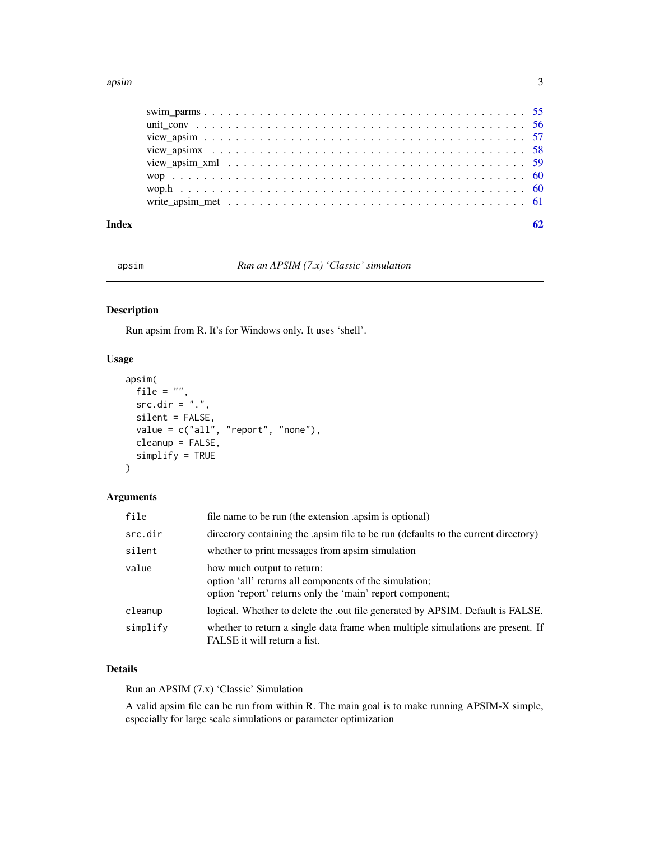#### <span id="page-2-0"></span>apsim 3

| Index | 62 |
|-------|----|

apsim *Run an APSIM (7.x) 'Classic' simulation*

### Description

Run apsim from R. It's for Windows only. It uses 'shell'.

#### Usage

```
apsim(
 file = ",
 src.dim = "."silent = FALSE,
 value = c("all", "report", "none"),
 cleanup = FALSE,
  simplify = TRUE
)
```
### Arguments

| file     | file name to be run (the extension apsim is optional)                                                                                             |
|----------|---------------------------------------------------------------------------------------------------------------------------------------------------|
| src.dir  | directory containing the apsim file to be run (defaults to the current directory)                                                                 |
| silent   | whether to print messages from apsim simulation                                                                                                   |
| value    | how much output to return:<br>option 'all' returns all components of the simulation;<br>option 'report' returns only the 'main' report component; |
| cleanup  | logical. Whether to delete the .out file generated by APSIM. Default is FALSE.                                                                    |
| simplify | whether to return a single data frame when multiple simulations are present. If<br>FALSE it will return a list.                                   |

### Details

Run an APSIM (7.x) 'Classic' Simulation

A valid apsim file can be run from within R. The main goal is to make running APSIM-X simple, especially for large scale simulations or parameter optimization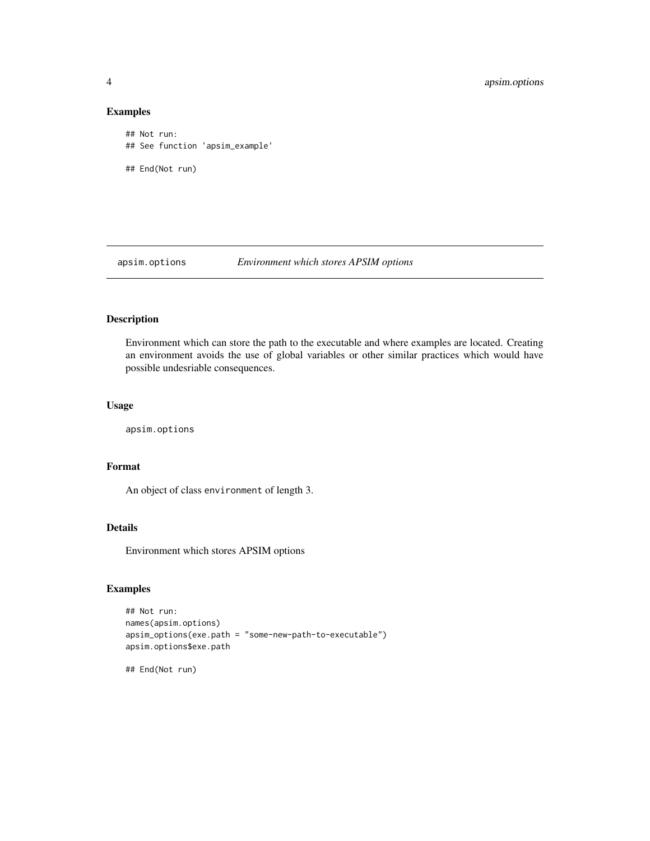### Examples

```
## Not run:
## See function 'apsim_example'
## End(Not run)
```
apsim.options *Environment which stores APSIM options*

## Description

Environment which can store the path to the executable and where examples are located. Creating an environment avoids the use of global variables or other similar practices which would have possible undesriable consequences.

#### Usage

apsim.options

### Format

An object of class environment of length 3.

### Details

Environment which stores APSIM options

### Examples

```
## Not run:
names(apsim.options)
apsim_options(exe.path = "some-new-path-to-executable")
apsim.options$exe.path
```
## End(Not run)

<span id="page-3-0"></span>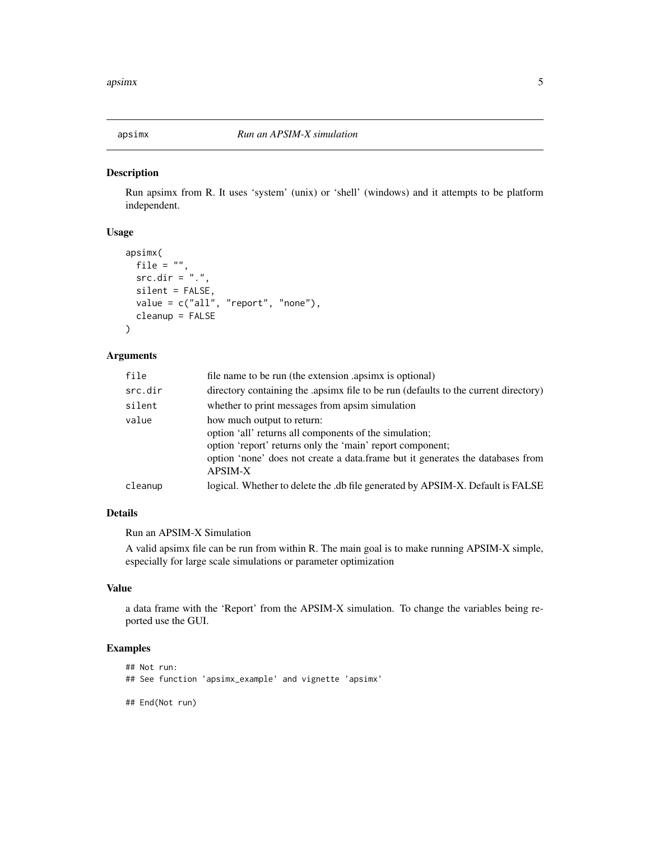<span id="page-4-0"></span>

Run apsimx from R. It uses 'system' (unix) or 'shell' (windows) and it attempts to be platform independent.

#### Usage

```
apsimx(
 file = ",
  src.dim = "."silent = FALSE,
 value = c("all", "report", "none"),
  cleanup = FALSE
)
```
### Arguments

| file    | file name to be run (the extension apsimx is optional)                                                                                                                                                                                                |
|---------|-------------------------------------------------------------------------------------------------------------------------------------------------------------------------------------------------------------------------------------------------------|
| src.dir | directory containing the apsimx file to be run (defaults to the current directory)                                                                                                                                                                    |
| silent  | whether to print messages from apsim simulation                                                                                                                                                                                                       |
| value   | how much output to return:<br>option 'all' returns all components of the simulation;<br>option 'report' returns only the 'main' report component;<br>option 'none' does not create a data.frame but it generates the databases from<br><b>APSIM-X</b> |
| cleanup | logical. Whether to delete the .db file generated by APSIM-X. Default is FALSE                                                                                                                                                                        |

#### Details

Run an APSIM-X Simulation

A valid apsimx file can be run from within R. The main goal is to make running APSIM-X simple, especially for large scale simulations or parameter optimization

#### Value

a data frame with the 'Report' from the APSIM-X simulation. To change the variables being reported use the GUI.

### Examples

```
## Not run:
## See function 'apsimx_example' and vignette 'apsimx'
```
## End(Not run)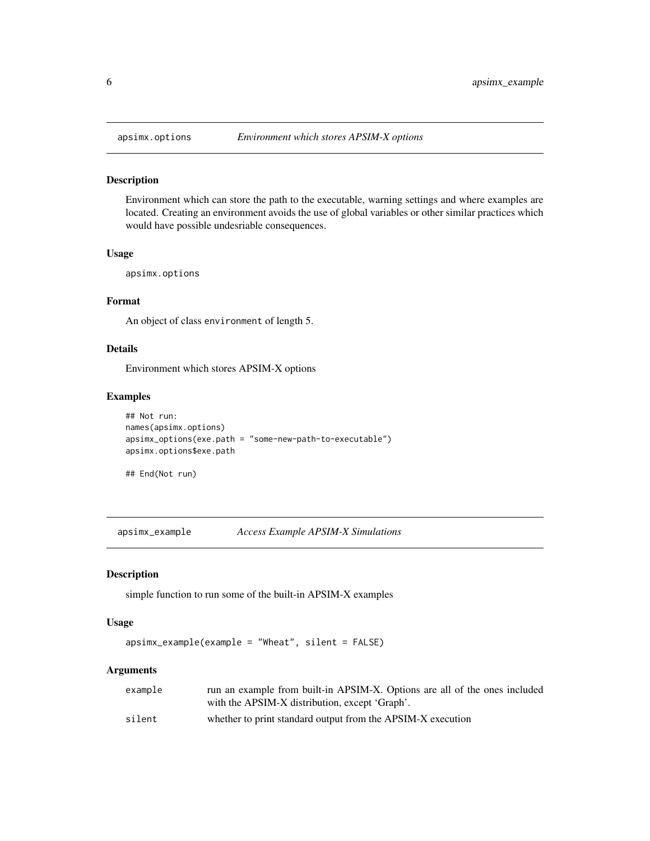<span id="page-5-0"></span>

Environment which can store the path to the executable, warning settings and where examples are located. Creating an environment avoids the use of global variables or other similar practices which would have possible undesriable consequences.

#### Usage

apsimx.options

#### Format

An object of class environment of length 5.

#### Details

Environment which stores APSIM-X options

### Examples

```
## Not run:
names(apsimx.options)
apsimx_options(exe.path = "some-new-path-to-executable")
apsimx.options$exe.path
```
## End(Not run)

apsimx\_example *Access Example APSIM-X Simulations*

#### Description

simple function to run some of the built-in APSIM-X examples

#### Usage

```
apsimx_example(example = "Wheat", silent = FALSE)
```
#### Arguments

| example | run an example from built-in APSIM-X. Options are all of the ones included |
|---------|----------------------------------------------------------------------------|
|         | with the APSIM-X distribution, except 'Graph'.                             |
| silent  | whether to print standard output from the APSIM-X execution                |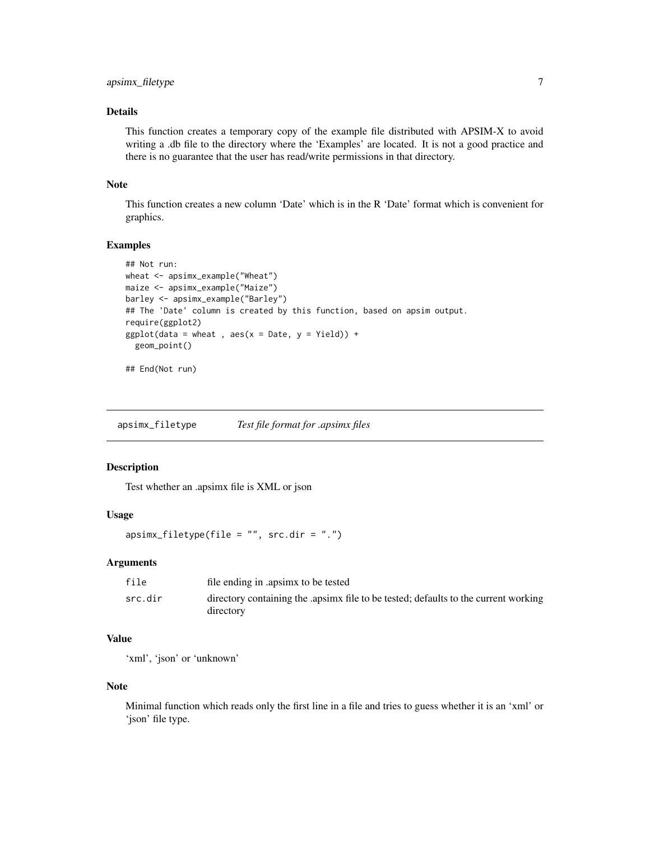### <span id="page-6-0"></span>Details

This function creates a temporary copy of the example file distributed with APSIM-X to avoid writing a .db file to the directory where the 'Examples' are located. It is not a good practice and there is no guarantee that the user has read/write permissions in that directory.

#### Note

This function creates a new column 'Date' which is in the R 'Date' format which is convenient for graphics.

### Examples

```
## Not run:
wheat <- apsimx_example("Wheat")
maize <- apsimx_example("Maize")
barley <- apsimx_example("Barley")
## The 'Date' column is created by this function, based on apsim output.
require(ggplot2)
ggplot(data = wheat , aes(x = Date, y = Yield)) +geom_point()
```
## End(Not run)

apsimx\_filetype *Test file format for .apsimx files*

### Description

Test whether an .apsimx file is XML or json

### Usage

apsimx\_filetype(file = "", src.dir = ".")

#### Arguments

| file    | file ending in apsimx to be tested                                                              |
|---------|-------------------------------------------------------------------------------------------------|
| src.dir | directory containing the apsimx file to be tested; defaults to the current working<br>directory |

#### Value

'xml', 'json' or 'unknown'

#### Note

Minimal function which reads only the first line in a file and tries to guess whether it is an 'xml' or 'json' file type.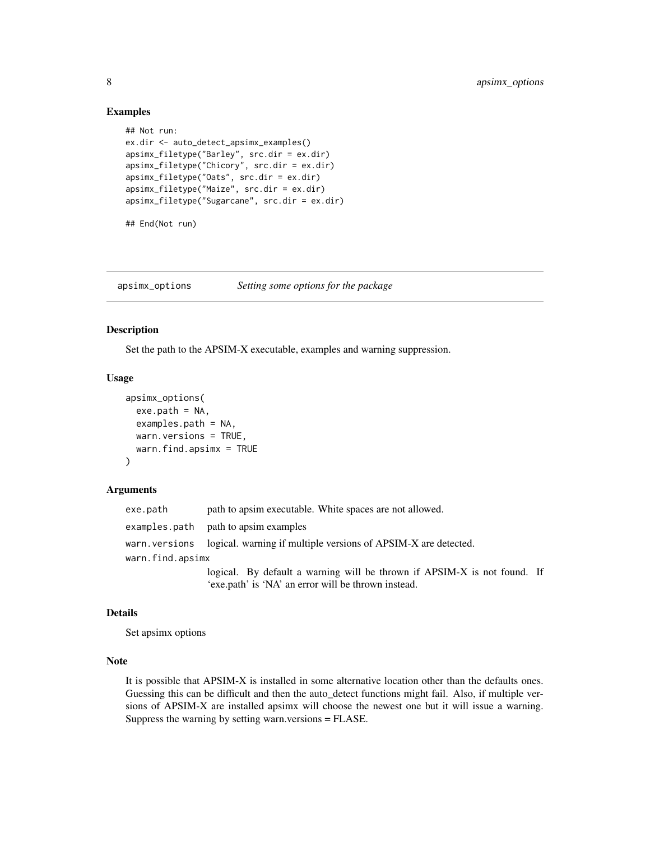#### Examples

```
## Not run:
ex.dir <- auto_detect_apsimx_examples()
apsimx_filetype("Barley", src.dir = ex.dir)
apsimx_filetype("Chicory", src.dir = ex.dir)
apsimx_filetype("Oats", src.dir = ex.dir)
apsimx_filetype("Maize", src.dir = ex.dir)
apsimx_filetype("Sugarcane", src.dir = ex.dir)
## End(Not run)
```
apsimx\_options *Setting some options for the package*

#### Description

Set the path to the APSIM-X executable, examples and warning suppression.

#### Usage

```
apsimx_options(
  exe.path = NA,
  examples.path = NA,
 warn.versions = TRUE,
  warn.find.apsimx = TRUE
)
```
### Arguments

| exe.path         | path to apsim executable. White spaces are not allowed.                       |  |
|------------------|-------------------------------------------------------------------------------|--|
|                  | examples.path path to apsimexamples                                           |  |
|                  | warn, versions logical, warning if multiple versions of APSIM-X are detected. |  |
| warn.find.apsimx |                                                                               |  |
|                  | logical. By default a warning will be thrown if APSIM-X is not found. If      |  |
|                  | 'exe.path' is 'NA' an error will be thrown instead.                           |  |

### Details

Set apsimx options

#### Note

It is possible that APSIM-X is installed in some alternative location other than the defaults ones. Guessing this can be difficult and then the auto\_detect functions might fail. Also, if multiple versions of APSIM-X are installed apsimx will choose the newest one but it will issue a warning. Suppress the warning by setting warn.versions = FLASE.

<span id="page-7-0"></span>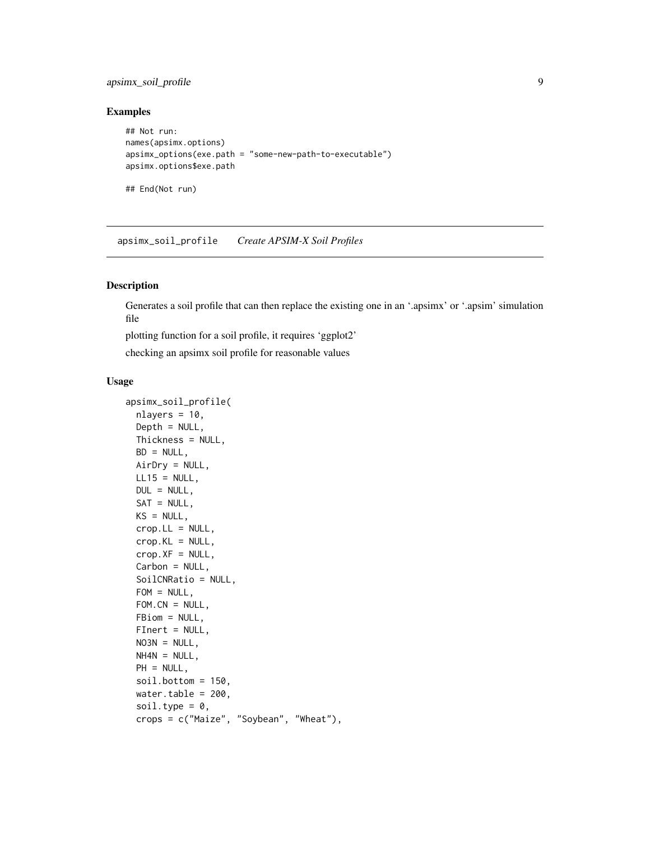### <span id="page-8-0"></span>apsimx\_soil\_profile 9

#### Examples

```
## Not run:
names(apsimx.options)
apsimx_options(exe.path = "some-new-path-to-executable")
apsimx.options$exe.path
```
## End(Not run)

<span id="page-8-1"></span>apsimx\_soil\_profile *Create APSIM-X Soil Profiles*

### Description

Generates a soil profile that can then replace the existing one in an '.apsimx' or '.apsim' simulation file

plotting function for a soil profile, it requires 'ggplot2'

checking an apsimx soil profile for reasonable values

#### Usage

```
apsimx_soil_profile(
  nlayers = 10,
 Depth = NULL,
 Thickness = NULL,
 BD = NULL,AirDry = NULL,
 LL15 = NULL,DUL = NULL,SAT = NULL,KS = NULL,\text{crop.LL} = \text{NULL},
 crop.KL = NULL,crop.XF = NULL,Carbon = NULL,
  SoilCNRatio = NULL,
  FOM = NULL,FOM.CN = NULL,FBiom = NULL,
 FInert = NULL,
 NOSN = NULL,NH4N = NULL,
 PH = NULL,
  soil.bottom = 150,
 water.table = 200,
  soil.type = 0,
  crops = c("Maize", "Soybean", "Wheat"),
```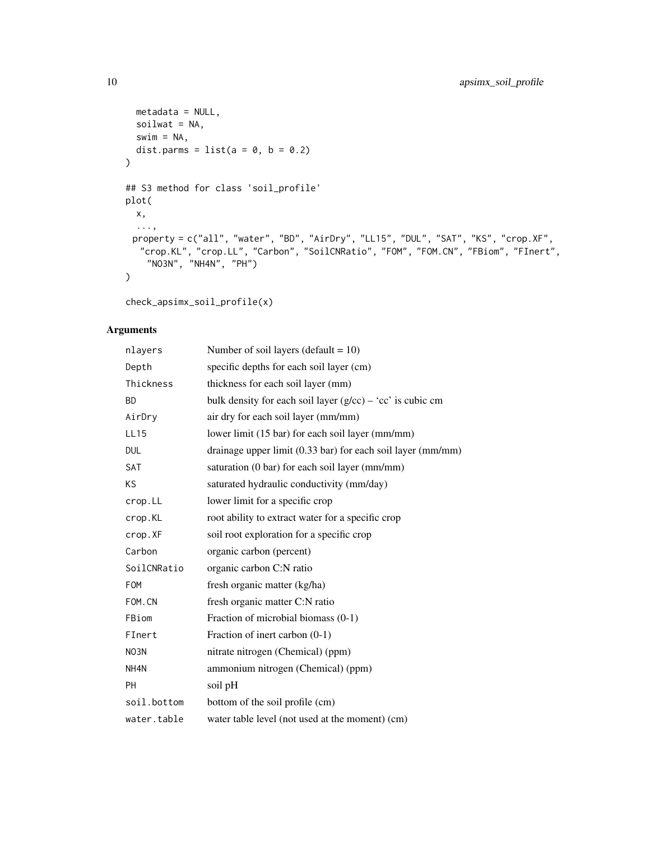```
metadata = NULL,soilwat = NA,
 swim = NA,
 dist.parms = list(a = 0, b = 0.2))
## S3 method for class 'soil_profile'
plot(
 x,
 ...,
 property = c("all", "water", "BD", "AirDry", "LL15", "DUL", "SAT", "KS", "crop.XF",
  "crop.KL", "crop.LL", "Carbon", "SoilCNRatio", "FOM", "FOM.CN", "FBiom", "FInert",
   "NO3N", "NH4N", "PH")
)
```

```
check_apsimx_soil_profile(x)
```
### Arguments

| nlayers     | Number of soil layers (default = $10$ )                               |
|-------------|-----------------------------------------------------------------------|
| Depth       | specific depths for each soil layer (cm)                              |
| Thickness   | thickness for each soil layer (mm)                                    |
| <b>BD</b>   | bulk density for each soil layer $(g/cc) - 'cc'$ is cubic cm          |
| AirDry      | air dry for each soil layer (mm/mm)                                   |
| <b>LL15</b> | lower limit (15 bar) for each soil layer (mm/mm)                      |
| <b>DUL</b>  | drainage upper limit $(0.33 \text{ bar})$ for each soil layer (mm/mm) |
| <b>SAT</b>  | saturation (0 bar) for each soil layer (mm/mm)                        |
| KS          | saturated hydraulic conductivity (mm/day)                             |
| crop.LL     | lower limit for a specific crop                                       |
| crop.KL     | root ability to extract water for a specific crop                     |
| crop.XF     | soil root exploration for a specific crop                             |
| Carbon      | organic carbon (percent)                                              |
| SoilCNRatio | organic carbon C:N ratio                                              |
| <b>FOM</b>  | fresh organic matter (kg/ha)                                          |
| FOM.CN      | fresh organic matter C:N ratio                                        |
| FBiom       | Fraction of microbial biomass (0-1)                                   |
| FInert      | Fraction of inert carbon (0-1)                                        |
| NO3N        | nitrate nitrogen (Chemical) (ppm)                                     |
| NH4N        | ammonium nitrogen (Chemical) (ppm)                                    |
| <b>PH</b>   | soil pH                                                               |
| soil.bottom | bottom of the soil profile (cm)                                       |
| water.table | water table level (not used at the moment) (cm)                       |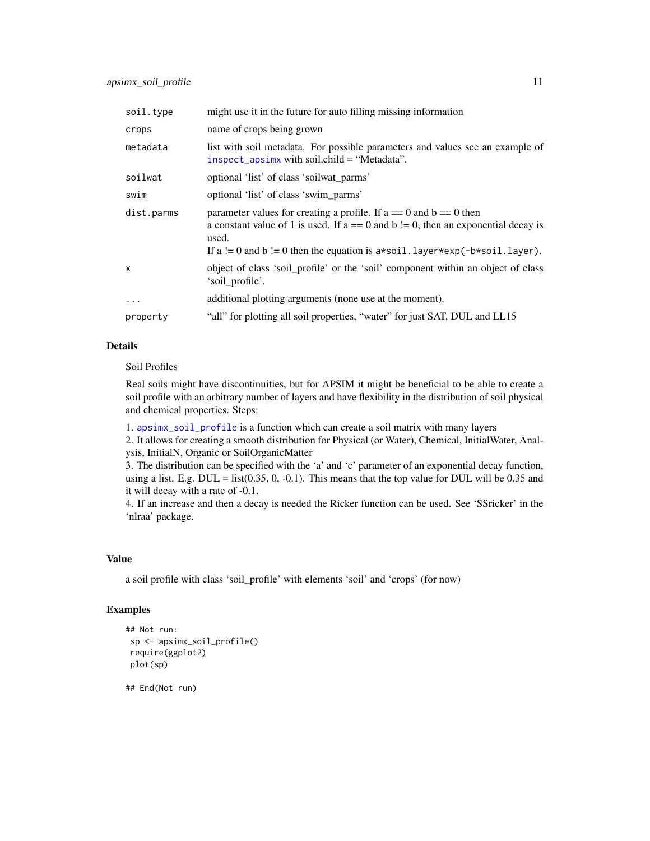<span id="page-10-0"></span>

| soil.type    | might use it in the future for auto filling missing information                                                                                                                                                                                                      |
|--------------|----------------------------------------------------------------------------------------------------------------------------------------------------------------------------------------------------------------------------------------------------------------------|
| crops        | name of crops being grown                                                                                                                                                                                                                                            |
| metadata     | list with soil metadata. For possible parameters and values see an example of<br>inspect_apsimx with soil.child = "Metadata".                                                                                                                                        |
| soilwat      | optional 'list' of class 'soilwat parms'                                                                                                                                                                                                                             |
| swim         | optional 'list' of class 'swim_parms'                                                                                                                                                                                                                                |
| dist.parms   | parameter values for creating a profile. If $a == 0$ and $b == 0$ then<br>a constant value of 1 is used. If $a == 0$ and $b != 0$ , then an exponential decay is<br>used.<br>If a $!= 0$ and b $!= 0$ then the equation is $a * soil.layer * exp(-b * soil.layer)$ . |
| $\mathsf{x}$ | object of class 'soil_profile' or the 'soil' component within an object of class<br>'soil_profile'.                                                                                                                                                                  |
| $\cdots$     | additional plotting arguments (none use at the moment).                                                                                                                                                                                                              |
| property     | "all" for plotting all soil properties, "water" for just SAT, DUL and LL15                                                                                                                                                                                           |

### Details

Soil Profiles

Real soils might have discontinuities, but for APSIM it might be beneficial to be able to create a soil profile with an arbitrary number of layers and have flexibility in the distribution of soil physical and chemical properties. Steps:

1. [apsimx\\_soil\\_profile](#page-8-1) is a function which can create a soil matrix with many layers

2. It allows for creating a smooth distribution for Physical (or Water), Chemical, InitialWater, Analysis, InitialN, Organic or SoilOrganicMatter

3. The distribution can be specified with the 'a' and 'c' parameter of an exponential decay function, using a list. E.g. DUL = list( $0.35$ ,  $0, -0.1$ ). This means that the top value for DUL will be 0.35 and it will decay with a rate of -0.1.

4. If an increase and then a decay is needed the Ricker function can be used. See 'SSricker' in the 'nlraa' package.

#### Value

a soil profile with class 'soil\_profile' with elements 'soil' and 'crops' (for now)

### Examples

```
## Not run:
sp <- apsimx_soil_profile()
require(ggplot2)
plot(sp)
## End(Not run)
```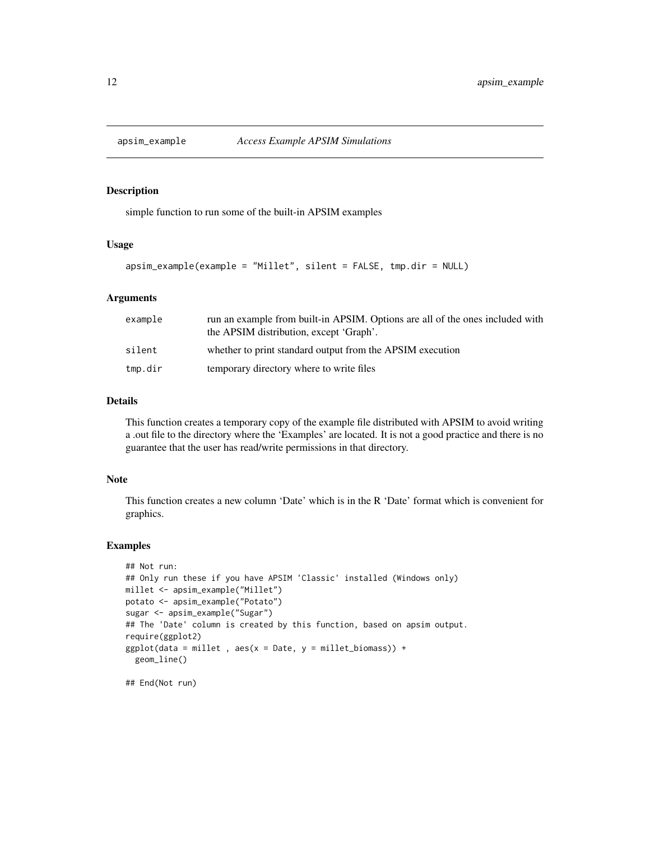<span id="page-11-0"></span>

simple function to run some of the built-in APSIM examples

### Usage

```
apsim_example(example = "Millet", silent = FALSE, tmp.dir = NULL)
```
### Arguments

| example | run an example from built-in APSIM. Options are all of the ones included with<br>the APSIM distribution, except 'Graph'. |
|---------|--------------------------------------------------------------------------------------------------------------------------|
| silent  | whether to print standard output from the APSIM execution                                                                |
| tmp.dir | temporary directory where to write files                                                                                 |

#### Details

This function creates a temporary copy of the example file distributed with APSIM to avoid writing a .out file to the directory where the 'Examples' are located. It is not a good practice and there is no guarantee that the user has read/write permissions in that directory.

#### Note

This function creates a new column 'Date' which is in the R 'Date' format which is convenient for graphics.

#### Examples

```
## Not run:
## Only run these if you have APSIM 'Classic' installed (Windows only)
millet <- apsim_example("Millet")
potato <- apsim_example("Potato")
sugar <- apsim_example("Sugar")
## The 'Date' column is created by this function, based on apsim output.
require(ggplot2)
ggplot(data = millet, aes(x = Date, y = millet_biomass)) +geom_line()
## End(Not run)
```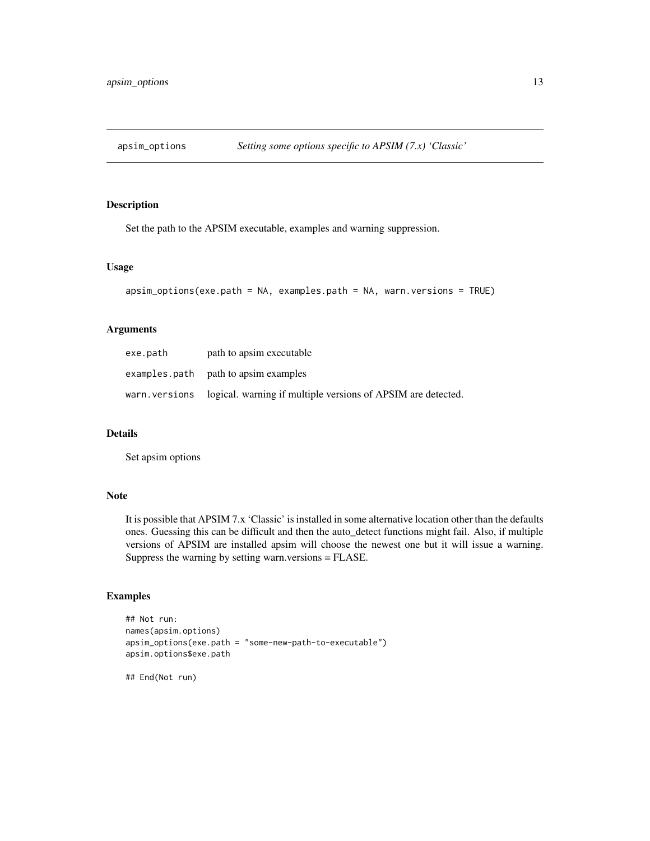<span id="page-12-0"></span>

Set the path to the APSIM executable, examples and warning suppression.

### Usage

```
apsim_options(exe.path = NA, examples.path = NA, warn.versions = TRUE)
```
### Arguments

| exe.path | path to apsim executable                                                    |
|----------|-----------------------------------------------------------------------------|
|          | examples.path path to apsimexamples                                         |
|          | warn. versions logical. warning if multiple versions of APSIM are detected. |

### Details

Set apsim options

### Note

It is possible that APSIM 7.x 'Classic' is installed in some alternative location other than the defaults ones. Guessing this can be difficult and then the auto\_detect functions might fail. Also, if multiple versions of APSIM are installed apsim will choose the newest one but it will issue a warning. Suppress the warning by setting warn.versions = FLASE.

### Examples

```
## Not run:
names(apsim.options)
apsim_options(exe.path = "some-new-path-to-executable")
apsim.options$exe.path
```
## End(Not run)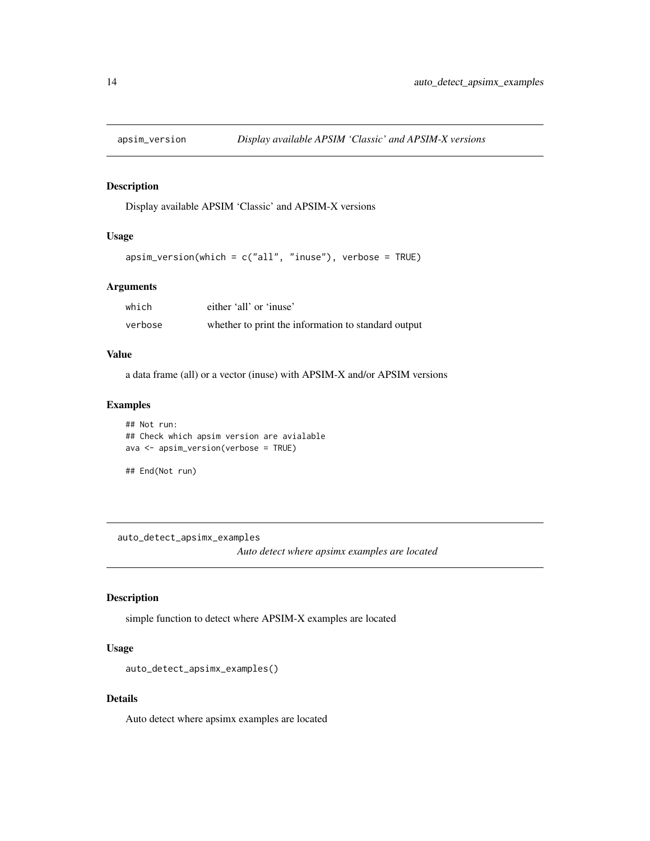<span id="page-13-0"></span>

Display available APSIM 'Classic' and APSIM-X versions

### Usage

```
apsim_version(which = c("all", "inuse"), verbose = TRUE)
```
### Arguments

| which   | either 'all' or 'inuse'                             |
|---------|-----------------------------------------------------|
| verbose | whether to print the information to standard output |

### Value

a data frame (all) or a vector (inuse) with APSIM-X and/or APSIM versions

#### Examples

```
## Not run:
## Check which apsim version are avialable
ava <- apsim_version(verbose = TRUE)
```

```
## End(Not run)
```
auto\_detect\_apsimx\_examples

*Auto detect where apsimx examples are located*

### Description

simple function to detect where APSIM-X examples are located

### Usage

```
auto_detect_apsimx_examples()
```
#### Details

Auto detect where apsimx examples are located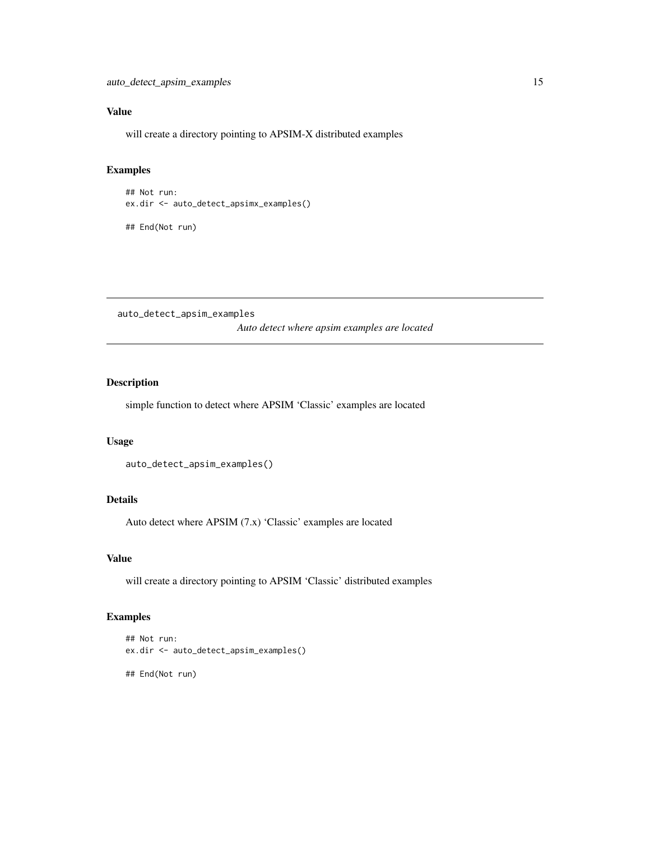### <span id="page-14-0"></span>Value

will create a directory pointing to APSIM-X distributed examples

### Examples

```
## Not run:
ex.dir <- auto_detect_apsimx_examples()
```
## End(Not run)

auto\_detect\_apsim\_examples *Auto detect where apsim examples are located*

### Description

simple function to detect where APSIM 'Classic' examples are located

#### Usage

```
auto_detect_apsim_examples()
```
### Details

Auto detect where APSIM (7.x) 'Classic' examples are located

### Value

will create a directory pointing to APSIM 'Classic' distributed examples

### Examples

```
## Not run:
ex.dir <- auto_detect_apsim_examples()
## End(Not run)
```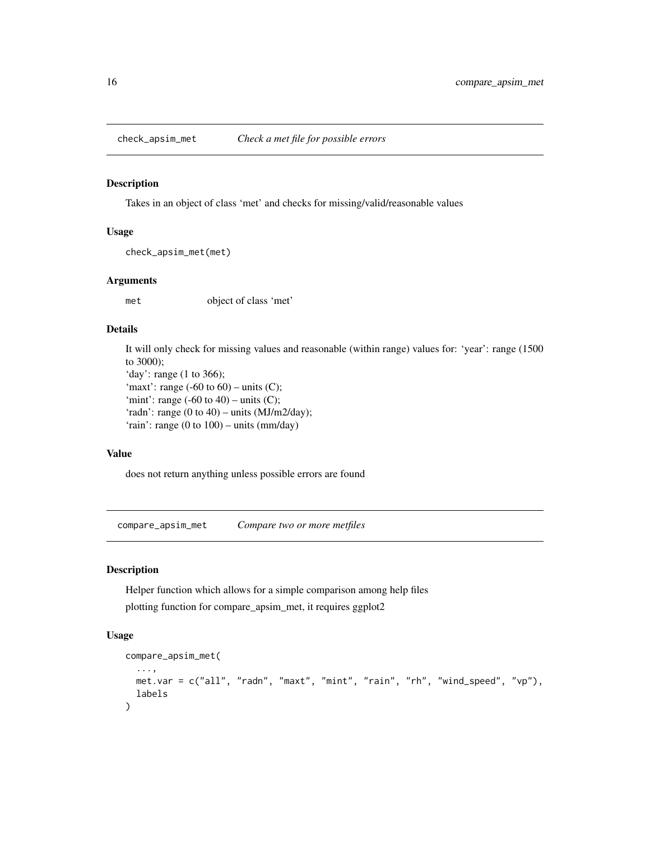<span id="page-15-0"></span>

Takes in an object of class 'met' and checks for missing/valid/reasonable values

#### Usage

```
check_apsim_met(met)
```
### Arguments

met object of class 'met'

#### Details

It will only check for missing values and reasonable (within range) values for: 'year': range (1500 to 3000); 'day': range (1 to 366); 'maxt': range  $(-60 \text{ to } 60)$  – units  $(C)$ ; 'mint': range  $(-60 \text{ to } 40)$  – units  $(C)$ ; 'radn': range (0 to 40) – units (MJ/m2/day); 'rain': range (0 to 100) – units (mm/day)

#### Value

does not return anything unless possible errors are found

compare\_apsim\_met *Compare two or more metfiles*

### Description

Helper function which allows for a simple comparison among help files plotting function for compare\_apsim\_met, it requires ggplot2

### Usage

```
compare_apsim_met(
  ...,
 met.var = c("all", "radn", "maxt", "mint", "rain", "rh", "wind_speed", "vp"),
 labels
)
```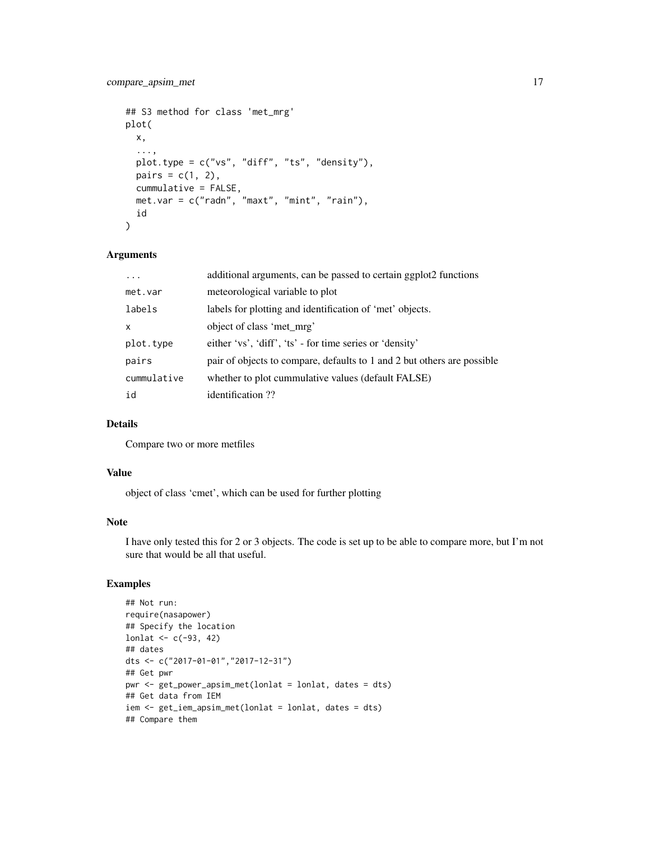```
## S3 method for class 'met_mrg'
plot(
 x,
  ...,
 plot.type = c("vs", "diff", "ts", "density"),
 pairs = c(1, 2),cummulative = FALSE,
 met.var = c("radn", "maxt", "mint", "rain"),
  id
)
```
### Arguments

| .           | additional arguments, can be passed to certain ggplot2 functions        |
|-------------|-------------------------------------------------------------------------|
| met.var     | meteorological variable to plot                                         |
| labels      | labels for plotting and identification of 'met' objects.                |
| x           | object of class 'met mrg'                                               |
| plot.type   | either 'vs', 'diff', 'ts' - for time series or 'density'                |
| pairs       | pair of objects to compare, defaults to 1 and 2 but others are possible |
| cummulative | whether to plot cummulative values (default FALSE)                      |
| id          | identification ??                                                       |

### Details

Compare two or more metfiles

### Value

object of class 'cmet', which can be used for further plotting

### Note

I have only tested this for 2 or 3 objects. The code is set up to be able to compare more, but I'm not sure that would be all that useful.

### Examples

```
## Not run:
require(nasapower)
## Specify the location
lonlat <-c(-93, 42)## dates
dts <- c("2017-01-01","2017-12-31")
## Get pwr
pwr <- get_power_apsim_met(lonlat = lonlat, dates = dts)
## Get data from IEM
iem <- get_iem_apsim_met(lonlat = lonlat, dates = dts)
## Compare them
```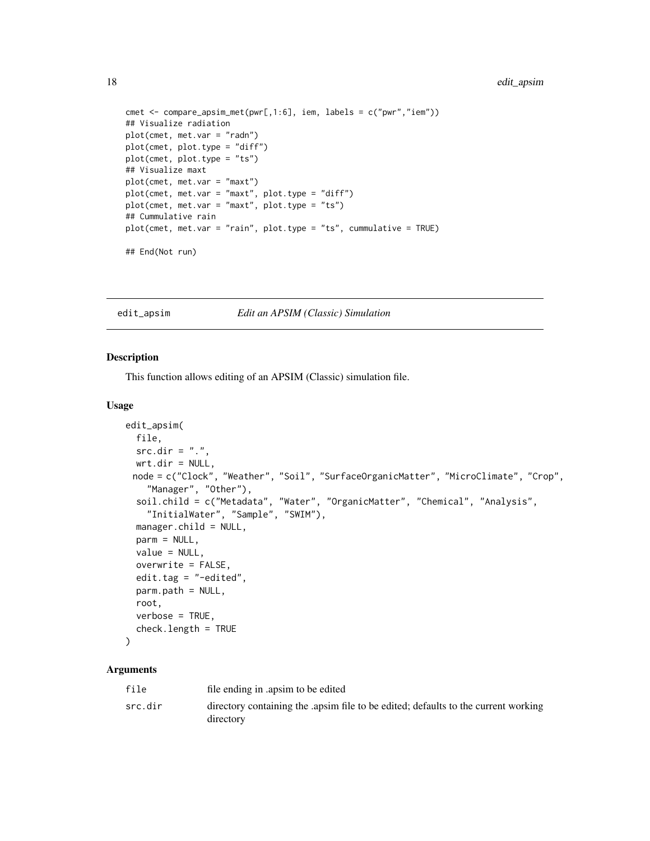```
cmet <- compare_apsim_met(pwr[,1:6], iem, labels = c("pwr","iem"))
## Visualize radiation
plot(cmet, met.var = "radn")
plot(cmet, plot.type = "diff")
plot(cmet, plot.type = "ts")
## Visualize maxt
plot(cmet, met.var = "maxt")
plot(cmet, met.var = "maxt", plot.type = "diff")
plot(cmet, met.var = "maxt", plot.type = "ts")
## Cummulative rain
plot(cmet, met.var = "rain", plot.type = "ts", cummulative = TRUE)
## End(Not run)
```
edit\_apsim *Edit an APSIM (Classic) Simulation*

#### Description

This function allows editing of an APSIM (Classic) simulation file.

#### Usage

```
edit_apsim(
 file,
 src.dim = "."wrt.dir = NULL,
 node = c("Clock", "Weather", "Soil", "SurfaceOrganicMatter", "MicroClimate", "Crop",
    "Manager", "Other"),
  soil.child = c("Metadata", "Water", "OrganicMatter", "Chemical", "Analysis",
    "InitialWater", "Sample", "SWIM"),
 manager.child = NULL,
 parm = NULL,
 value = NULL,
  overwrite = FALSE,
 edit.tag = "-edited",
 parm.path = NULL,
 root,
  verbose = TRUE,
  check.length = TRUE
)
```
#### Arguments

| file    | file ending in apsim to be edited                                                              |
|---------|------------------------------------------------------------------------------------------------|
| src.dir | directory containing the apsim file to be edited; defaults to the current working<br>directory |

<span id="page-17-0"></span>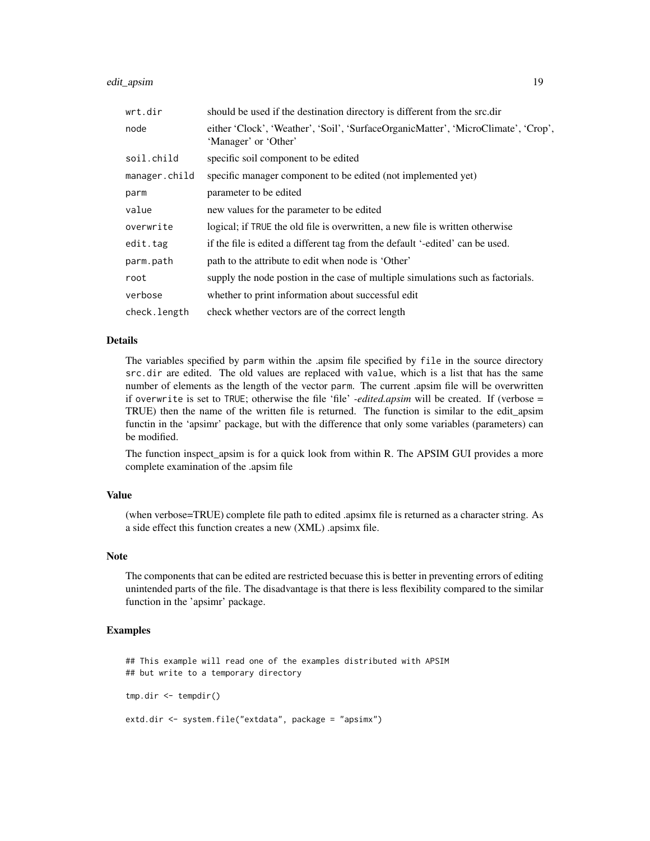#### edit\_apsim and 19

| wrt.dir       | should be used if the destination directory is different from the src.dir                                  |
|---------------|------------------------------------------------------------------------------------------------------------|
| node          | either 'Clock', 'Weather', 'Soil', 'SurfaceOrganicMatter', 'MicroClimate', 'Crop',<br>'Manager' or 'Other' |
| soil.child    | specific soil component to be edited                                                                       |
| manager.child | specific manager component to be edited (not implemented yet)                                              |
| parm          | parameter to be edited                                                                                     |
| value         | new values for the parameter to be edited                                                                  |
| overwrite     | logical; if TRUE the old file is overwritten, a new file is written otherwise                              |
| edit.tag      | if the file is edited a different tag from the default '-edited' can be used.                              |
| parm.path     | path to the attribute to edit when node is 'Other'                                                         |
| root          | supply the node postion in the case of multiple simulations such as factorials.                            |
| verbose       | whether to print information about successful edit                                                         |
| check.length  | check whether vectors are of the correct length                                                            |

#### Details

The variables specified by parm within the .apsim file specified by file in the source directory src.dir are edited. The old values are replaced with value, which is a list that has the same number of elements as the length of the vector parm. The current .apsim file will be overwritten if overwrite is set to TRUE; otherwise the file 'file' *-edited.apsim* will be created. If (verbose = TRUE) then the name of the written file is returned. The function is similar to the edit\_apsim functin in the 'apsimr' package, but with the difference that only some variables (parameters) can be modified.

The function inspect\_apsim is for a quick look from within R. The APSIM GUI provides a more complete examination of the .apsim file

#### Value

(when verbose=TRUE) complete file path to edited .apsimx file is returned as a character string. As a side effect this function creates a new (XML) .apsimx file.

### Note

The components that can be edited are restricted becuase this is better in preventing errors of editing unintended parts of the file. The disadvantage is that there is less flexibility compared to the similar function in the 'apsimr' package.

#### Examples

## This example will read one of the examples distributed with APSIM ## but write to a temporary directory

```
tmp.dir <- tempdir()
```
extd.dir <- system.file("extdata", package = "apsimx")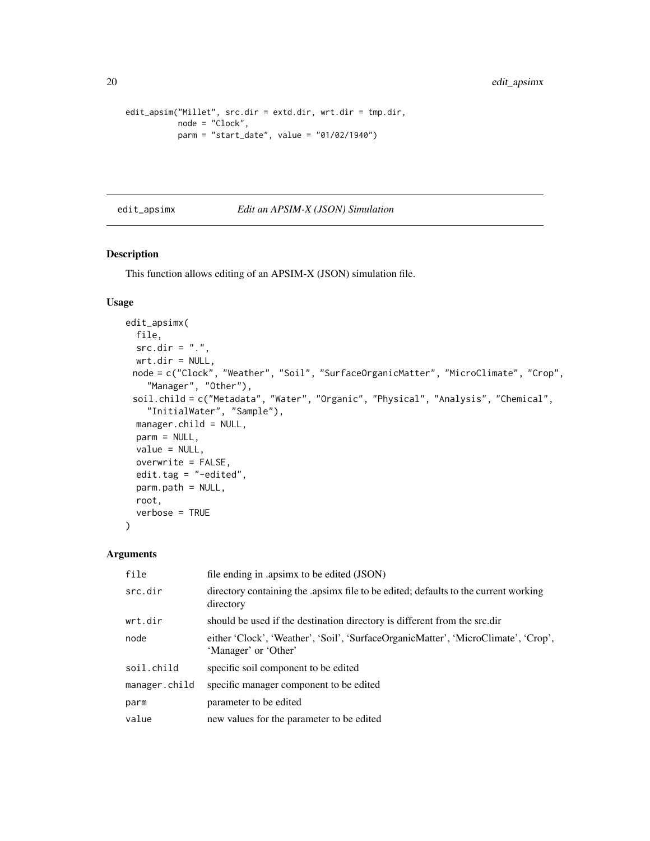```
edit_apsim("Millet", src.dir = extd.dir, wrt.dir = tmp.dir,
          node = "Clock",
          parm = "start_date", value = "01/02/1940")
```
#### edit\_apsimx *Edit an APSIM-X (JSON) Simulation*

### Description

This function allows editing of an APSIM-X (JSON) simulation file.

### Usage

```
edit_apsimx(
  file,
  src-dir = "."wrt.dir = NULL,node = c("Clock", "Weather", "Soil", "SurfaceOrganicMatter", "MicroClimate", "Crop",
    "Manager", "Other"),
 soil.child = c("Metadata", "Water", "Organic", "Physical", "Analysis", "Chemical",
    "InitialWater", "Sample"),
 manager.child = NULL,
 parm = NULL,
 value = NULL,
 overwrite = FALSE,
 edit.tag = "-edited",
 parm.path = NULL,
 root,
  verbose = TRUE
\mathcal{L}
```
#### Arguments

| file          | file ending in .apsimx to be edited (JSON)                                                                 |
|---------------|------------------------------------------------------------------------------------------------------------|
| src.dir       | directory containing the apsimx file to be edited; defaults to the current working<br>directory            |
| wrt.dir       | should be used if the destination directory is different from the src.dir                                  |
| node          | either 'Clock', 'Weather', 'Soil', 'SurfaceOrganicMatter', 'MicroClimate', 'Crop',<br>'Manager' or 'Other' |
| soil.child    | specific soil component to be edited                                                                       |
| manager.child | specific manager component to be edited                                                                    |
| parm          | parameter to be edited                                                                                     |
| value         | new values for the parameter to be edited                                                                  |

<span id="page-19-0"></span>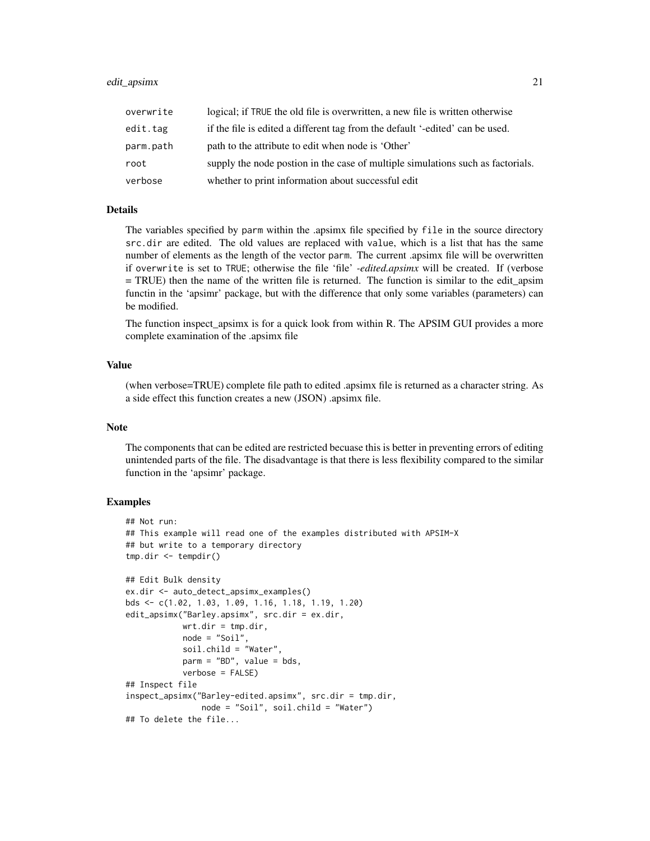| overwrite | logical; if TRUE the old file is overwritten, a new file is written otherwise   |
|-----------|---------------------------------------------------------------------------------|
| edit.tag  | if the file is edited a different tag from the default '-edited' can be used.   |
| parm.path | path to the attribute to edit when node is 'Other'                              |
| root      | supply the node postion in the case of multiple simulations such as factorials. |
| verbose   | whether to print information about successful edit                              |

### Details

The variables specified by parm within the .apsimx file specified by file in the source directory src.dir are edited. The old values are replaced with value, which is a list that has the same number of elements as the length of the vector parm. The current .apsimx file will be overwritten if overwrite is set to TRUE; otherwise the file 'file' *-edited.apsimx* will be created. If (verbose = TRUE) then the name of the written file is returned. The function is similar to the edit\_apsim functin in the 'apsimr' package, but with the difference that only some variables (parameters) can be modified.

The function inspect\_apsimx is for a quick look from within R. The APSIM GUI provides a more complete examination of the .apsimx file

### Value

(when verbose=TRUE) complete file path to edited .apsimx file is returned as a character string. As a side effect this function creates a new (JSON) .apsimx file.

### Note

The components that can be edited are restricted becuase this is better in preventing errors of editing unintended parts of the file. The disadvantage is that there is less flexibility compared to the similar function in the 'apsimr' package.

### Examples

```
## Not run:
## This example will read one of the examples distributed with APSIM-X
## but write to a temporary directory
tmp.dir <- tempdir()
## Edit Bulk density
ex.dir <- auto_detect_apsimx_examples()
bds <- c(1.02, 1.03, 1.09, 1.16, 1.18, 1.19, 1.20)
edit_apsimx("Barley.apsimx", src.dir = ex.dir,
            wrt.dir = tmp.dir,
            node = "Soil",
            soil.child = "Water",
            \text{parm} = \text{"BD", value = bds},verbose = FALSE)
## Inspect file
inspect_apsimx("Barley-edited.apsimx", src.dir = tmp.dir,
                node = "Soil", soil.child = "Water")
## To delete the file...
```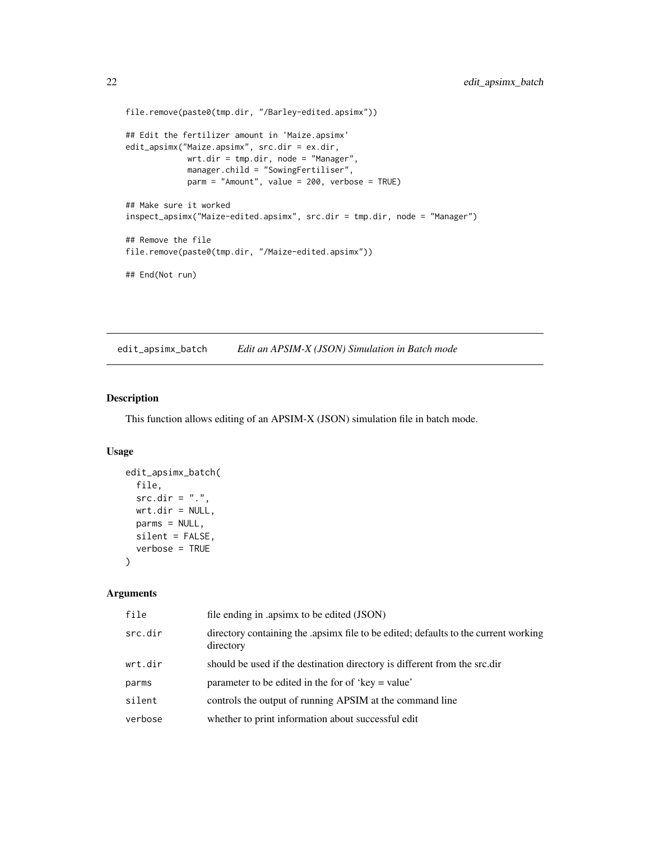```
file.remove(paste0(tmp.dir, "/Barley-edited.apsimx"))
## Edit the fertilizer amount in 'Maize.apsimx'
edit_apsimx("Maize.apsimx", src.dir = ex.dir,
             wrt.dir = tmp.dir, node = "Manager",
             manager.child = "SowingFertiliser",
             parm = "Amount", value = 200, verbose = TRUE)
## Make sure it worked
inspect_apsimx("Maize-edited.apsimx", src.dir = tmp.dir, node = "Manager")
## Remove the file
file.remove(paste0(tmp.dir, "/Maize-edited.apsimx"))
## End(Not run)
```
edit\_apsimx\_batch *Edit an APSIM-X (JSON) Simulation in Batch mode*

### Description

This function allows editing of an APSIM-X (JSON) simulation file in batch mode.

#### Usage

```
edit_apsimx_batch(
  file,
  src.dim = "."wrt.dir = NULL,
 parms = NULL,
 silent = FALSE,
  verbose = TRUE
)
```
#### Arguments

| file    | file ending in .apsimx to be edited (JSON)                                                     |
|---------|------------------------------------------------------------------------------------------------|
| src.dir | directory containing the apsimarile to be edited; defaults to the current working<br>directory |
| wrt.dir | should be used if the destination directory is different from the src.dir                      |
| parms   | parameter to be edited in the for of 'key = value'                                             |
| silent  | controls the output of running APSIM at the command line                                       |
| verbose | whether to print information about successful edit                                             |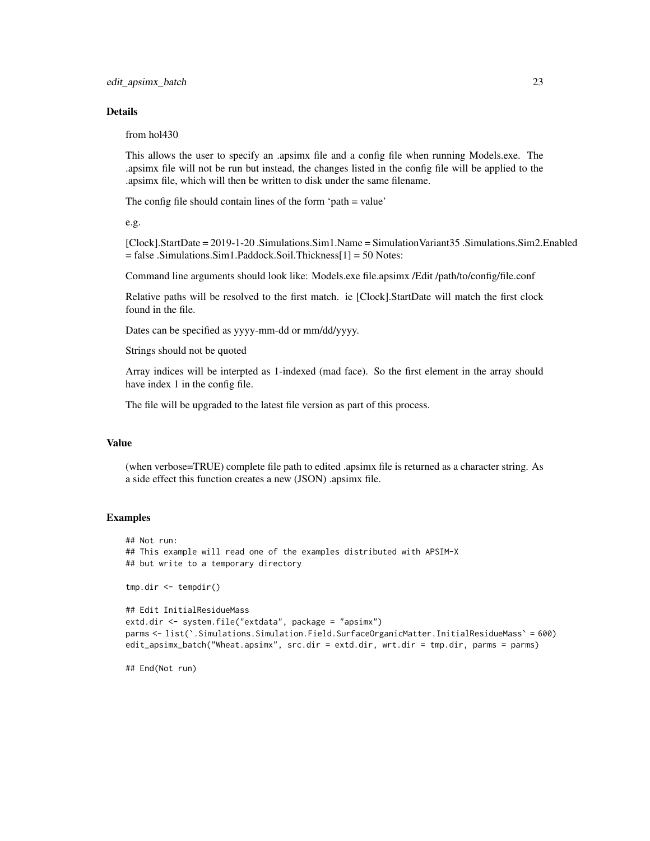### Details

from hol430

This allows the user to specify an .apsimx file and a config file when running Models.exe. The .apsimx file will not be run but instead, the changes listed in the config file will be applied to the .apsimx file, which will then be written to disk under the same filename.

The config file should contain lines of the form 'path = value'

e.g.

[Clock].StartDate = 2019-1-20 .Simulations.Sim1.Name = SimulationVariant35 .Simulations.Sim2.Enabled = false .Simulations.Sim1.Paddock.Soil.Thickness[1] = 50 Notes:

Command line arguments should look like: Models.exe file.apsimx /Edit /path/to/config/file.conf

Relative paths will be resolved to the first match. ie [Clock].StartDate will match the first clock found in the file.

Dates can be specified as yyyy-mm-dd or mm/dd/yyyy.

Strings should not be quoted

Array indices will be interpted as 1-indexed (mad face). So the first element in the array should have index 1 in the config file.

The file will be upgraded to the latest file version as part of this process.

#### Value

(when verbose=TRUE) complete file path to edited .apsimx file is returned as a character string. As a side effect this function creates a new (JSON) .apsimx file.

#### Examples

```
## Not run:
## This example will read one of the examples distributed with APSIM-X
## but write to a temporary directory
tmp.dir <- tempdir()
## Edit InitialResidueMass
extd.dir <- system.file("extdata", package = "apsimx")
parms <- list(`.Simulations.Simulation.Field.SurfaceOrganicMatter.InitialResidueMass` = 600)
edit_apsimx_batch("Wheat.apsimx", src.dir = extd.dir, wrt.dir = tmp.dir, parms = parms)
```
## End(Not run)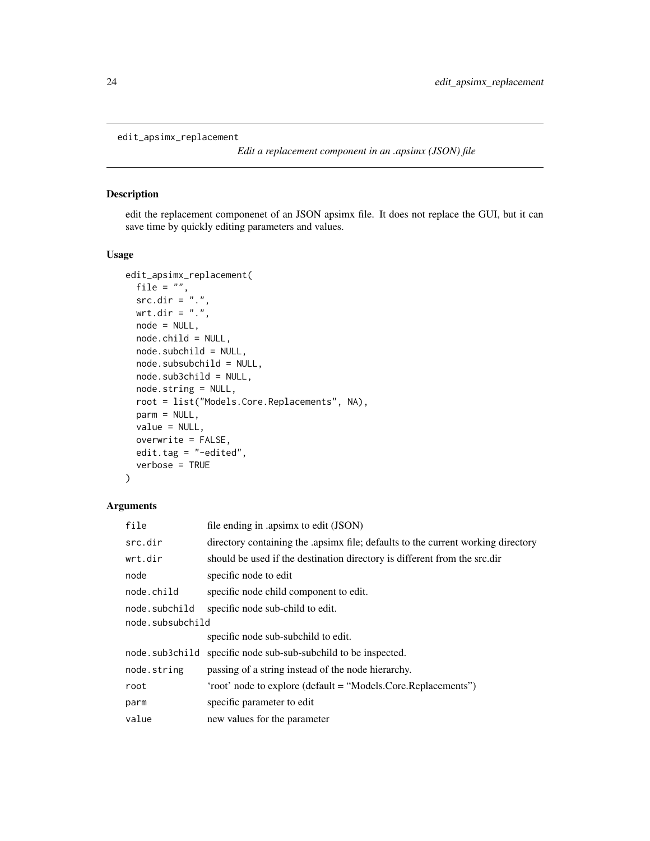<span id="page-23-1"></span><span id="page-23-0"></span>edit\_apsimx\_replacement

*Edit a replacement component in an .apsimx (JSON) file*

### Description

edit the replacement componenet of an JSON apsimx file. It does not replace the GUI, but it can save time by quickly editing parameters and values.

#### Usage

```
edit_apsimx_replacement(
  file = ",
 src.dim = "".".wrt.dir = ".",
  node = NULL,
  node.child = NULL,
  node.subchild = NULL,
  node.subsubchild = NULL,
  node.sub3child = NULL,
  node.string = NULL,
  root = list("Models.Core.Replacements", NA),
  parm = NULL,
  value = NULL,
  overwrite = FALSE,
 edit.tag = "-edited",
  verbose = TRUE
)
```
### Arguments

| file             | file ending in .apsimx to edit (JSON)                                              |  |
|------------------|------------------------------------------------------------------------------------|--|
| src.dir          | directory containing the apsimating the; defaults to the current working directory |  |
| wrt.dir          | should be used if the destination directory is different from the src.dir          |  |
| node             | specific node to edit                                                              |  |
| node.child       | specific node child component to edit.                                             |  |
| node.subchild    | specific node sub-child to edit.                                                   |  |
| node.subsubchild |                                                                                    |  |
|                  | specific node sub-subchild to edit.                                                |  |
| node.sub3child   | specific node sub-sub-subchild to be inspected.                                    |  |
| node.string      | passing of a string instead of the node hierarchy.                                 |  |
| root             | 'root' node to explore (default = "Models.Core.Replacements")                      |  |
| parm             | specific parameter to edit                                                         |  |
| value            | new values for the parameter                                                       |  |
|                  |                                                                                    |  |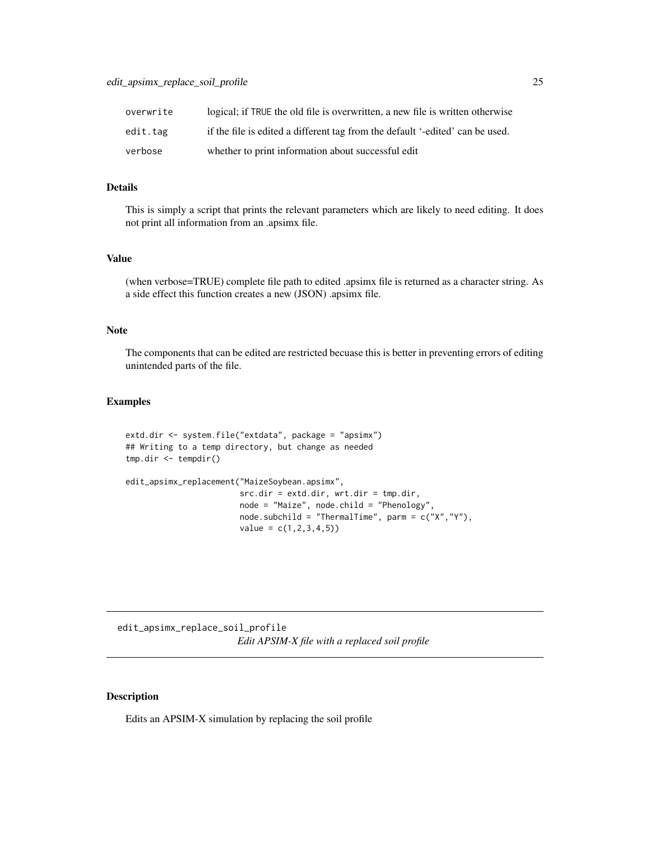<span id="page-24-0"></span>

| overwrite | logical; if TRUE the old file is overwritten, a new file is written otherwise |
|-----------|-------------------------------------------------------------------------------|
| edit.tag  | if the file is edited a different tag from the default '-edited' can be used. |
| verbose   | whether to print information about successful edit                            |

### Details

This is simply a script that prints the relevant parameters which are likely to need editing. It does not print all information from an .apsimx file.

### Value

(when verbose=TRUE) complete file path to edited .apsimx file is returned as a character string. As a side effect this function creates a new (JSON) .apsimx file.

#### Note

The components that can be edited are restricted becuase this is better in preventing errors of editing unintended parts of the file.

### Examples

```
extd.dir <- system.file("extdata", package = "apsimx")
## Writing to a temp directory, but change as needed
tmp.dir <- tempdir()
edit_apsimx_replacement("MaizeSoybean.apsimx",
                        src-dir = extd.dir, wrt.dir = tmp.dir,node = "Maize", node.child = "Phenology",
                        node.subchild = "ThermalTime", parm = c("X","Y"),
                        value = c(1, 2, 3, 4, 5)
```
edit\_apsimx\_replace\_soil\_profile *Edit APSIM-X file with a replaced soil profile*

### Description

Edits an APSIM-X simulation by replacing the soil profile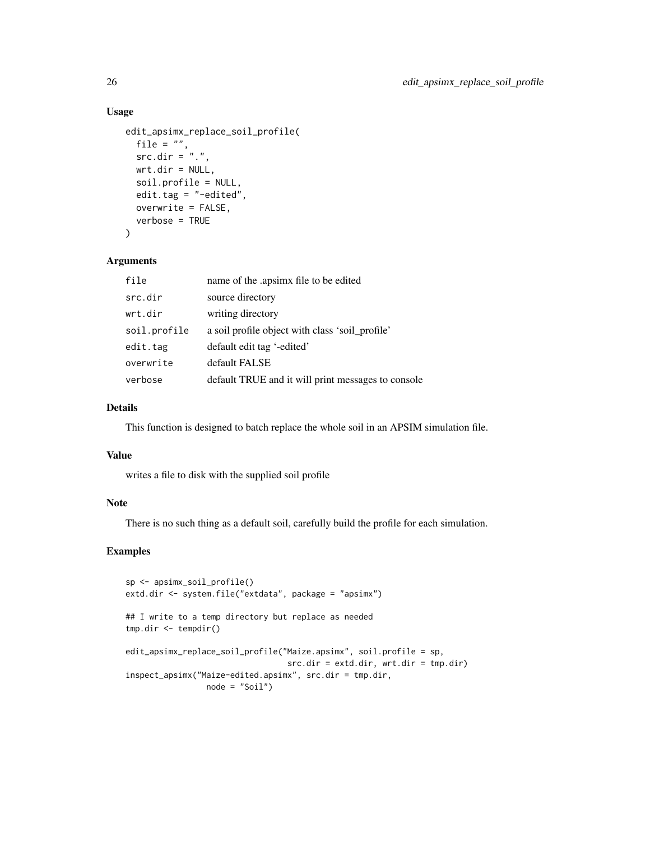#### Usage

```
edit_apsimx_replace_soil_profile(
 file = ",
  src.dim = "."wrt.dir = NULL,soil.profile = NULL,
 edit.tag = "-edited",
 overwrite = FALSE,
 verbose = TRUE
)
```
#### Arguments

| file         | name of the .apsimx file to be edited              |
|--------------|----------------------------------------------------|
| src.dir      | source directory                                   |
| wrt.dir      | writing directory                                  |
| soil.profile | a soil profile object with class 'soil_profile'    |
| edit.tag     | default edit tag '-edited'                         |
| overwrite    | default FALSE                                      |
| verbose      | default TRUE and it will print messages to console |

### Details

This function is designed to batch replace the whole soil in an APSIM simulation file.

### Value

writes a file to disk with the supplied soil profile

### Note

There is no such thing as a default soil, carefully build the profile for each simulation.

### Examples

```
sp <- apsimx_soil_profile()
extd.dir <- system.file("extdata", package = "apsimx")
## I write to a temp directory but replace as needed
tmp.dir <- tempdir()
edit_apsimx_replace_soil_profile("Maize.apsimx", soil.profile = sp,
                                 src.dir = extd.dir, wrt.dir = tmp.dir)
inspect_apsimx("Maize-edited.apsimx", src.dir = tmp.dir,
                node = "Soil")
```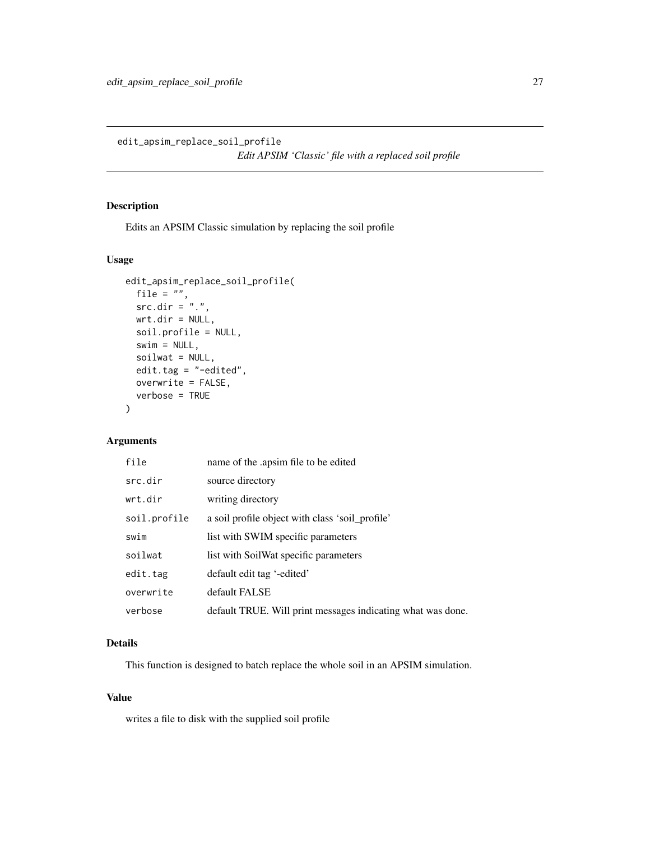<span id="page-26-0"></span>edit\_apsim\_replace\_soil\_profile *Edit APSIM 'Classic' file with a replaced soil profile*

### Description

Edits an APSIM Classic simulation by replacing the soil profile

### Usage

```
edit_apsim_replace_soil_profile(
 file = ",
 src.dim = "."wrt.dir = NULL,soil.profile = NULL,
  swim = NULL,soilwat = NULL,
  edit.tag = "-edited",
 overwrite = FALSE,
  verbose = TRUE
\mathcal{E}
```
### Arguments

| file         | name of the .apsim file to be edited                        |
|--------------|-------------------------------------------------------------|
| src.dir      | source directory                                            |
| wrt.dir      | writing directory                                           |
| soil.profile | a soil profile object with class 'soil_profile'             |
| swim         | list with SWIM specific parameters                          |
| soilwat      | list with SoilWat specific parameters                       |
| edit.tag     | default edit tag '-edited'                                  |
| overwrite    | default FALSE                                               |
| verbose      | default TRUE. Will print messages indicating what was done. |

### Details

This function is designed to batch replace the whole soil in an APSIM simulation.

#### Value

writes a file to disk with the supplied soil profile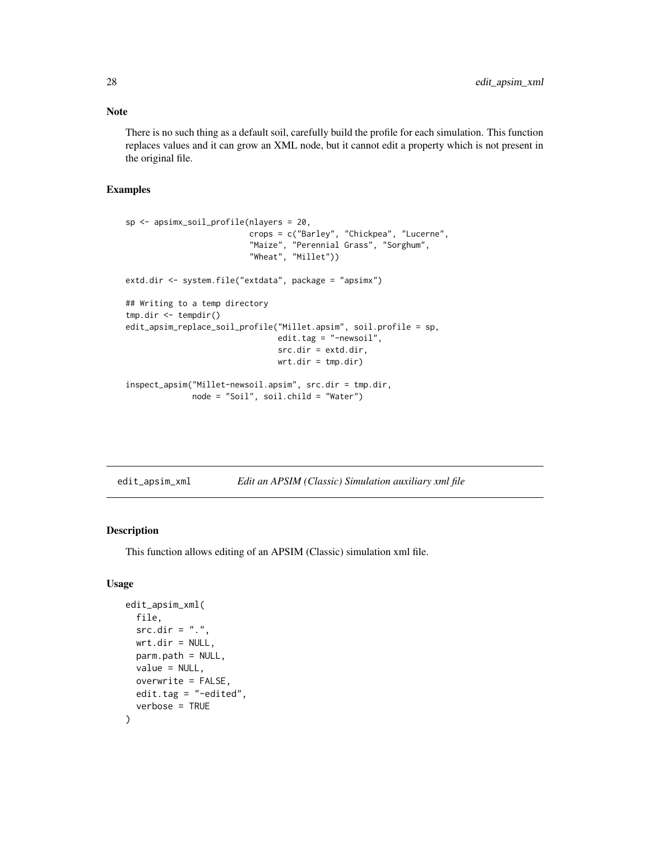<span id="page-27-0"></span>Note

There is no such thing as a default soil, carefully build the profile for each simulation. This function replaces values and it can grow an XML node, but it cannot edit a property which is not present in the original file.

#### Examples

```
sp <- apsimx_soil_profile(nlayers = 20,
                          crops = c("Barley", "Chickpea", "Lucerne",
                          "Maize", "Perennial Grass", "Sorghum",
                          "Wheat", "Millet"))
extd.dir <- system.file("extdata", package = "apsimx")
## Writing to a temp directory
tmp.dir <- tempdir()
edit_apsim_replace_soil_profile("Millet.apsim", soil.profile = sp,
                                edit.tag = "-newsoil",
                                src.dir = extd.dir,
                                wrt.dir = tmp.dir)inspect_apsim("Millet-newsoil.apsim", src.dir = tmp.dir,
              node = "Soil", soil.child = "Water")
```

|  | edit_apsim_xml |  | Edit an APSIM (Classic) Simulation auxiliary xml file |  |  |
|--|----------------|--|-------------------------------------------------------|--|--|
|--|----------------|--|-------------------------------------------------------|--|--|

### Description

This function allows editing of an APSIM (Classic) simulation xml file.

### Usage

```
edit_apsim_xml(
  file,
  src-dir = "."wrt.dir = NULL,
  parm.path = NULL,
  value = NULL,
  overwrite = FALSE,
  edit.tag = "-edited",
  verbose = TRUE
)
```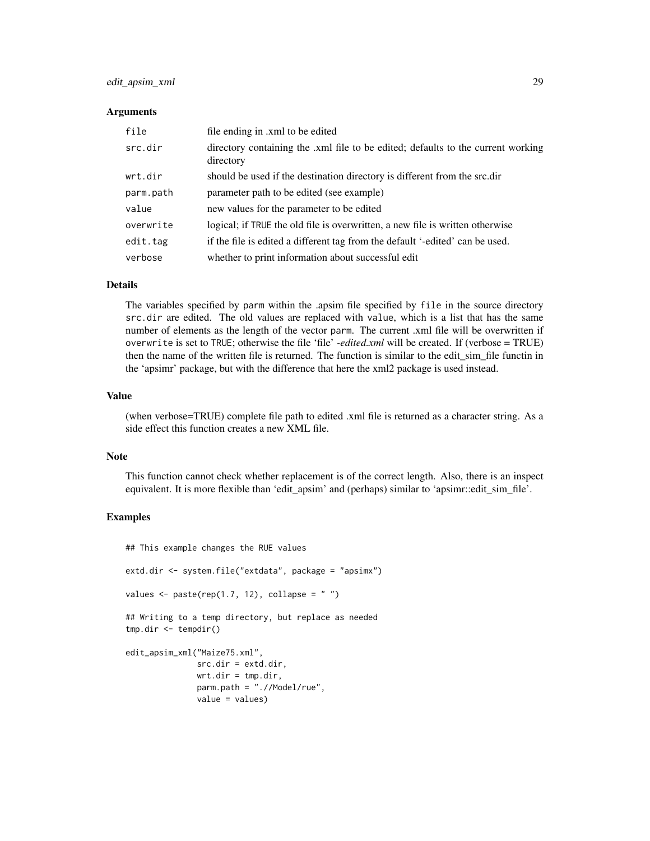### edit\_apsim\_xml 29

#### Arguments

| file      | file ending in .xml to be edited                                                              |
|-----------|-----------------------------------------------------------------------------------------------|
| src.dir   | directory containing the .xml file to be edited; defaults to the current working<br>directory |
| wrt.dir   | should be used if the destination directory is different from the src.dir                     |
| parm.path | parameter path to be edited (see example)                                                     |
| value     | new values for the parameter to be edited                                                     |
| overwrite | logical; if TRUE the old file is overwritten, a new file is written otherwise                 |
| edit.tag  | if the file is edited a different tag from the default '-edited' can be used.                 |
| verbose   | whether to print information about successful edit                                            |

#### Details

The variables specified by parm within the .apsim file specified by file in the source directory src.dir are edited. The old values are replaced with value, which is a list that has the same number of elements as the length of the vector parm. The current .xml file will be overwritten if overwrite is set to TRUE; otherwise the file 'file' *-edited.xml* will be created. If (verbose = TRUE) then the name of the written file is returned. The function is similar to the edit\_sim\_file functin in the 'apsimr' package, but with the difference that here the xml2 package is used instead.

#### Value

(when verbose=TRUE) complete file path to edited .xml file is returned as a character string. As a side effect this function creates a new XML file.

#### Note

This function cannot check whether replacement is of the correct length. Also, there is an inspect equivalent. It is more flexible than 'edit\_apsim' and (perhaps) similar to 'apsimr::edit\_sim\_file'.

#### Examples

## This example changes the RUE values

extd.dir <- system.file("extdata", package = "apsimx")

```
values \leq paste(rep(1.7, 12), collapse = "")
```

```
## Writing to a temp directory, but replace as needed
tmp.dir <- tempdir()
```

```
edit_apsim_xml("Maize75.xml",
              src.dir = extd.dir,
              wrt.dir = tmp.dir,parm.path = ".//Model/rue",
              value = values)
```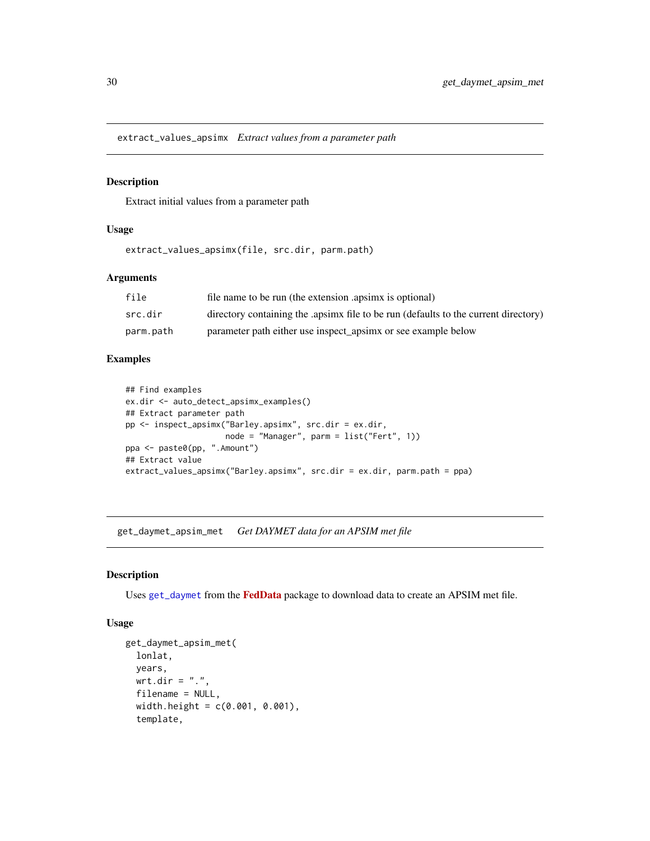<span id="page-29-0"></span>extract\_values\_apsimx *Extract values from a parameter path*

### Description

Extract initial values from a parameter path

#### Usage

extract\_values\_apsimx(file, src.dir, parm.path)

### Arguments

| file      | file name to be run (the extension apsimx is optional)                             |
|-----------|------------------------------------------------------------------------------------|
| src.dir   | directory containing the apsimx file to be run (defaults to the current directory) |
| parm.path | parameter path either use inspect_apsimx or see example below                      |

#### Examples

```
## Find examples
ex.dir <- auto_detect_apsimx_examples()
## Extract parameter path
pp <- inspect_apsimx("Barley.apsimx", src.dir = ex.dir,
                    node = "Manager", parm = list("Fert", 1))
ppa <- paste0(pp, ".Amount")
## Extract value
extract_values_apsimx("Barley.apsimx", src.dir = ex.dir, parm.path = ppa)
```
get\_daymet\_apsim\_met *Get DAYMET data for an APSIM met file*

#### Description

Uses [get\\_daymet](#page-0-0) from the [FedData](https://CRAN.R-project.org/package=FedData) package to download data to create an APSIM met file.

#### Usage

```
get_daymet_apsim_met(
  lonlat,
 years,
 wrt.dir = ".",
  filename = NULL,
  width.height = c(0.001, 0.001),
  template,
```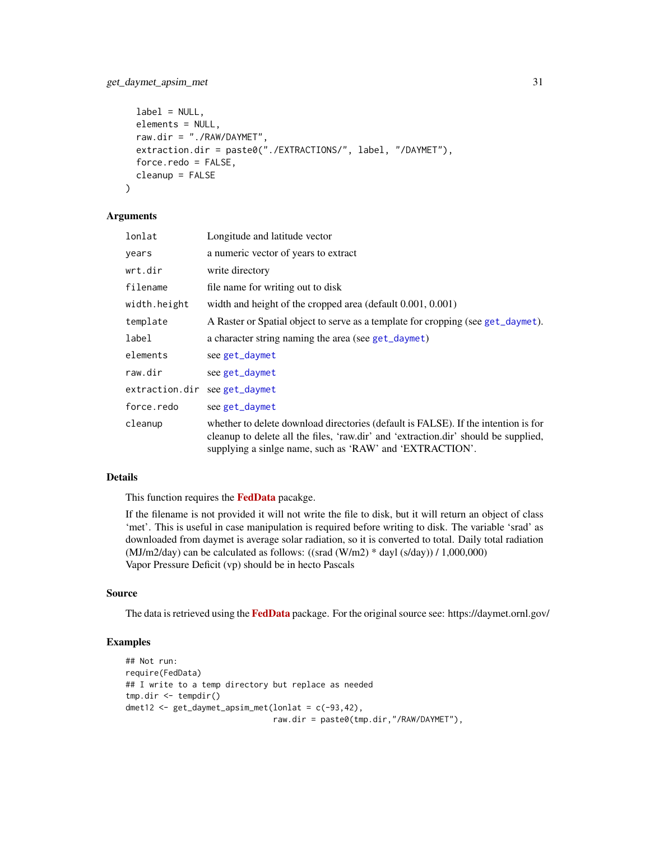```
label = NULL,elements = NULL,
 raw.dir = "./RAW/DAYMET",
 extraction.dir = paste0("./EXTRACTIONS/", label, "/DAYMET"),
  force.redo = FALSE,
 cleanup = FALSE
)
```
#### Arguments

| lonlat         | Longitude and latitude vector                                                                                                                                                                                                         |
|----------------|---------------------------------------------------------------------------------------------------------------------------------------------------------------------------------------------------------------------------------------|
| years          | a numeric vector of years to extract                                                                                                                                                                                                  |
| wrt.dir        | write directory                                                                                                                                                                                                                       |
| filename       | file name for writing out to disk                                                                                                                                                                                                     |
| width.height   | width and height of the cropped area (default $0.001, 0.001$ )                                                                                                                                                                        |
| template       | A Raster or Spatial object to serve as a template for cropping (see get_daymet).                                                                                                                                                      |
| label          | a character string naming the area (see get_daymet)                                                                                                                                                                                   |
| elements       | see get_daymet                                                                                                                                                                                                                        |
| raw.dir        | see get_daymet                                                                                                                                                                                                                        |
| extraction.dir | see get_daymet                                                                                                                                                                                                                        |
| force.redo     | see get_daymet                                                                                                                                                                                                                        |
| cleanup        | whether to delete download directories (default is FALSE). If the intention is for<br>cleanup to delete all the files, 'raw.dir' and 'extraction.dir' should be supplied,<br>supplying a sinlge name, such as 'RAW' and 'EXTRACTION'. |

### Details

This function requires the [FedData](https://CRAN.R-project.org/package=FedData) pacakge.

If the filename is not provided it will not write the file to disk, but it will return an object of class 'met'. This is useful in case manipulation is required before writing to disk. The variable 'srad' as downloaded from daymet is average solar radiation, so it is converted to total. Daily total radiation (MJ/m2/day) can be calculated as follows: ((srad  $(W/m2)$  \* dayl  $(s/day)$ ) / 1,000,000) Vapor Pressure Deficit (vp) should be in hecto Pascals

### Source

The data is retrieved using the [FedData](https://CRAN.R-project.org/package=FedData) package. For the original source see: https://daymet.ornl.gov/

#### Examples

```
## Not run:
require(FedData)
## I write to a temp directory but replace as needed
tmp.dir <- tempdir()
dmet12 <- get\_daymet\_apsim\_met(lonlat = c(-93, 42),raw.dir = paste0(tmp.dir,"/RAW/DAYMET"),
```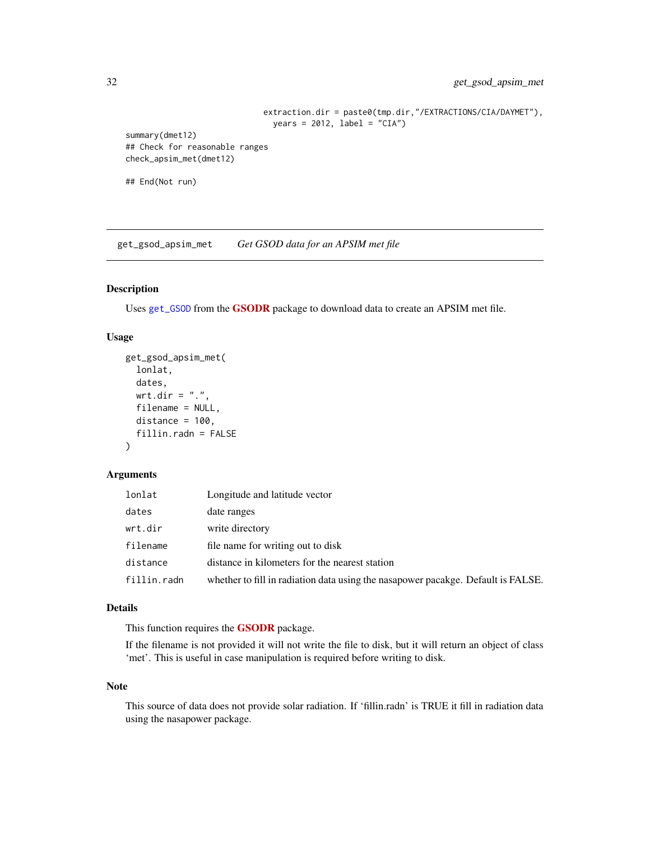```
extraction.dir = paste0(tmp.dir,"/EXTRACTIONS/CIA/DAYMET"),
                               years = 2012, label = "CIA")summary(dmet12)
## Check for reasonable ranges
check_apsim_met(dmet12)
```
## End(Not run)

get\_gsod\_apsim\_met *Get GSOD data for an APSIM met file*

#### Description

Uses [get\\_GSOD](#page-0-0) from the [GSODR](https://CRAN.R-project.org/package=GSODR) package to download data to create an APSIM met file.

#### Usage

```
get_gsod_apsim_met(
 lonlat,
 dates,
 wrt.dir = "."filename = NULL,
 distance = 100,
 fillin.radn = FALSE
\lambda
```
### Arguments

| lonlat      | Longitude and latitude vector                                                    |
|-------------|----------------------------------------------------------------------------------|
| dates       | date ranges                                                                      |
| wrt.dir     | write directory                                                                  |
| filename    | file name for writing out to disk                                                |
| distance    | distance in kilometers for the nearest station                                   |
| fillin.radn | whether to fill in radiation data using the nasapower pacakge. Default is FALSE. |

### Details

This function requires the **[GSODR](https://CRAN.R-project.org/package=GSODR)** package.

If the filename is not provided it will not write the file to disk, but it will return an object of class 'met'. This is useful in case manipulation is required before writing to disk.

#### Note

This source of data does not provide solar radiation. If 'fillin.radn' is TRUE it fill in radiation data using the nasapower package.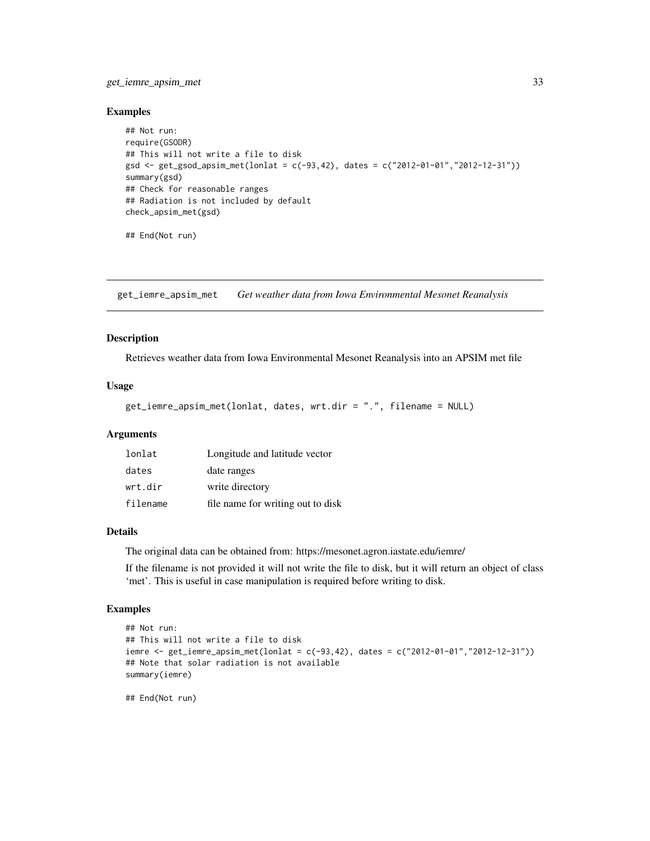### <span id="page-32-0"></span>get\_iemre\_apsim\_met 33

#### Examples

```
## Not run:
require(GSODR)
## This will not write a file to disk
gsd <- get_gsod_apsim_met(lonlat = c(-93,42), dates = c("2012-01-01","2012-12-31"))
summary(gsd)
## Check for reasonable ranges
## Radiation is not included by default
check_apsim_met(gsd)
## End(Not run)
```
get\_iemre\_apsim\_met *Get weather data from Iowa Environmental Mesonet Reanalysis*

#### Description

Retrieves weather data from Iowa Environmental Mesonet Reanalysis into an APSIM met file

#### Usage

```
get_iemre_apsim_met(lonlat, dates, wrt.dir = ".", filename = NULL)
```
#### Arguments

| lonlat   | Longitude and latitude vector     |
|----------|-----------------------------------|
| dates    | date ranges                       |
| wrt.dir  | write directory                   |
| filename | file name for writing out to disk |

#### Details

The original data can be obtained from: https://mesonet.agron.iastate.edu/iemre/

If the filename is not provided it will not write the file to disk, but it will return an object of class 'met'. This is useful in case manipulation is required before writing to disk.

### Examples

```
## Not run:
## This will not write a file to disk
iemre <- get_iemre_apsim_met(lonlat = c(-93,42), dates = c("2012-01-01","2012-12-31"))
## Note that solar radiation is not available
summary(iemre)
## End(Not run)
```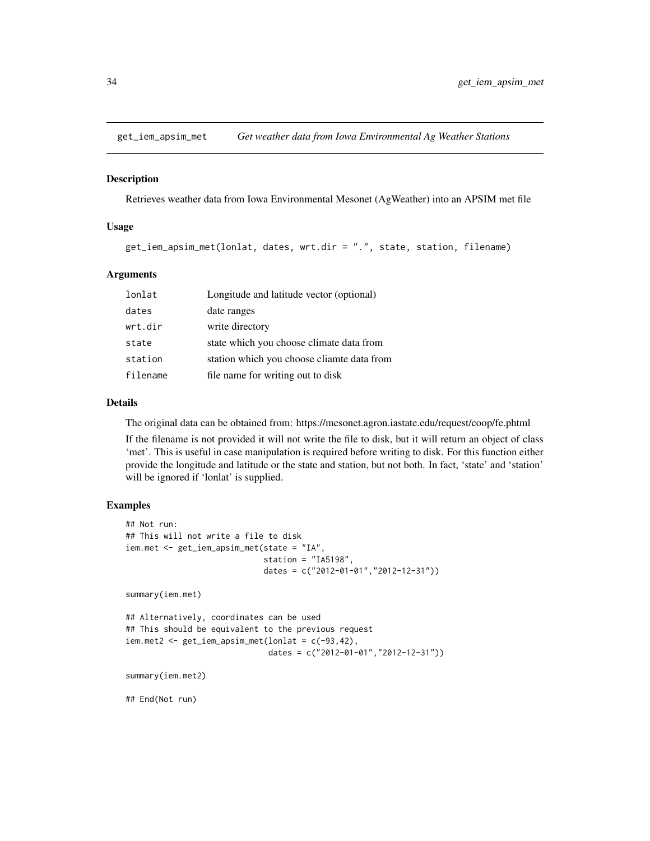<span id="page-33-0"></span>

Retrieves weather data from Iowa Environmental Mesonet (AgWeather) into an APSIM met file

#### Usage

```
get_iem_apsim_met(lonlat, dates, wrt.dir = ".", state, station, filename)
```
#### Arguments

| lonlat   | Longitude and latitude vector (optional)   |
|----------|--------------------------------------------|
| dates    | date ranges                                |
| wrt.dir  | write directory                            |
| state    | state which you choose climate data from   |
| station  | station which you choose cliamte data from |
| filename | file name for writing out to disk          |

### Details

The original data can be obtained from: https://mesonet.agron.iastate.edu/request/coop/fe.phtml

If the filename is not provided it will not write the file to disk, but it will return an object of class 'met'. This is useful in case manipulation is required before writing to disk. For this function either provide the longitude and latitude or the state and station, but not both. In fact, 'state' and 'station' will be ignored if 'lonlat' is supplied.

#### Examples

```
## Not run:
## This will not write a file to disk
iem.met <- get_iem_apsim_met(state = "IA",
                             station = "IA5198",
                             dates = c("2012-01-01","2012-12-31"))
summary(iem.met)
## Alternatively, coordinates can be used
## This should be equivalent to the previous request
iem.met2 <- get_iem_apsim_met(lonlat = c(-93,42),
                              dates = c("2012-01-01","2012-12-31"))
summary(iem.met2)
## End(Not run)
```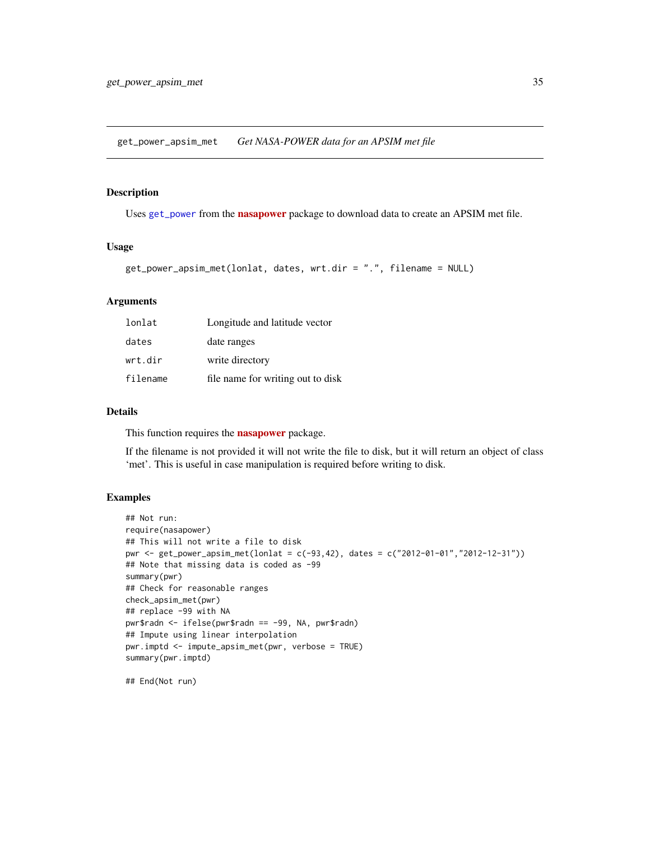<span id="page-34-0"></span>get\_power\_apsim\_met *Get NASA-POWER data for an APSIM met file*

### Description

Uses [get\\_power](#page-0-0) from the **[nasapower](https://CRAN.R-project.org/package=nasapower)** package to download data to create an APSIM met file.

#### Usage

```
get_power_apsim_met(lonlat, dates, wrt.dir = ".", filename = NULL)
```
#### Arguments

| lonlat   | Longitude and latitude vector     |
|----------|-----------------------------------|
| dates    | date ranges                       |
| wrt.dir  | write directory                   |
| filename | file name for writing out to disk |

#### Details

This function requires the **[nasapower](https://CRAN.R-project.org/package=nasapower)** package.

If the filename is not provided it will not write the file to disk, but it will return an object of class 'met'. This is useful in case manipulation is required before writing to disk.

### Examples

```
## Not run:
require(nasapower)
## This will not write a file to disk
pwr <- get_power_apsim_met(lonlat = c(-93,42), dates = c("2012-01-01","2012-12-31"))
## Note that missing data is coded as -99
summary(pwr)
## Check for reasonable ranges
check_apsim_met(pwr)
## replace -99 with NA
pwr$radn <- ifelse(pwr$radn == -99, NA, pwr$radn)
## Impute using linear interpolation
pwr.imptd <- impute_apsim_met(pwr, verbose = TRUE)
summary(pwr.imptd)
```
## End(Not run)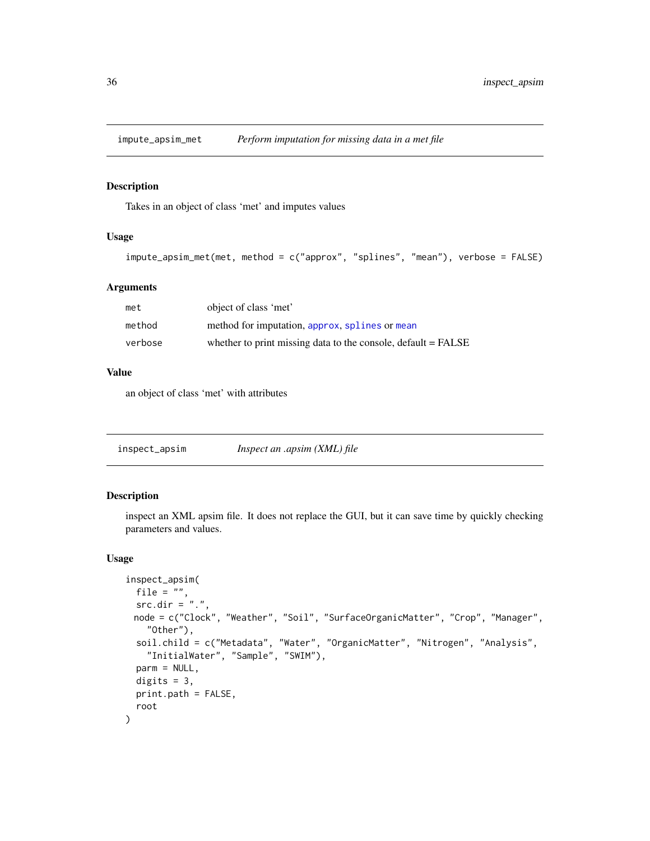<span id="page-35-0"></span>

Takes in an object of class 'met' and imputes values

### Usage

```
impute_apsim_met(met, method = c("approx", "splines", "mean"), verbose = FALSE)
```
### Arguments

| met     | object of class 'met'                                           |
|---------|-----------------------------------------------------------------|
| method  | method for imputation, approx, splines or mean                  |
| verbose | whether to print missing data to the console, default $=$ FALSE |

#### Value

an object of class 'met' with attributes

<span id="page-35-1"></span>inspect\_apsim *Inspect an .apsim (XML) file*

### Description

inspect an XML apsim file. It does not replace the GUI, but it can save time by quickly checking parameters and values.

#### Usage

```
inspect_apsim(
 file = ",
 src.dim = "."node = c("Clock", "Weather", "Soil", "SurfaceOrganicMatter", "Crop", "Manager",
   "Other"),
 soil.child = c("Metadata", "Water", "OrganicMatter", "Nitrogen", "Analysis",
    "InitialWater", "Sample", "SWIM"),
 parm = NULL,
 digits = 3,
 print.path = FALSE,
  root
)
```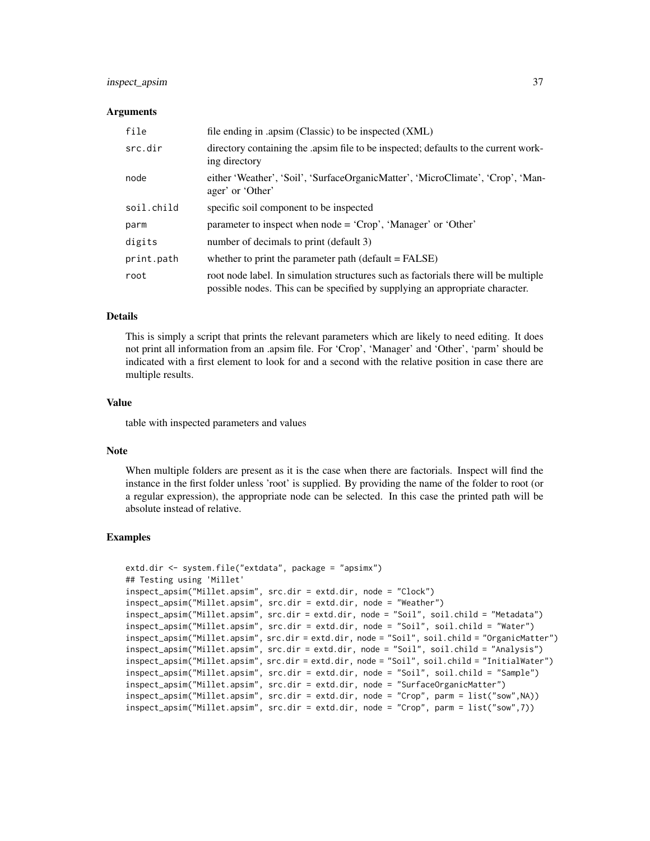### inspect\_apsim 37

#### Arguments

| file       | file ending in .apsim (Classic) to be inspected (XML)                                                                                                               |
|------------|---------------------------------------------------------------------------------------------------------------------------------------------------------------------|
| src.dir    | directory containing the apsimulate to be inspected; defaults to the current work-<br>ing directory                                                                 |
| node       | either 'Weather', 'Soil', 'SurfaceOrganicMatter', 'MicroClimate', 'Crop', 'Man-<br>ager' or 'Other'                                                                 |
| soil.child | specific soil component to be inspected                                                                                                                             |
| parm       | parameter to inspect when $node = 'Crop'$ , 'Manager' or 'Other'                                                                                                    |
| digits     | number of decimals to print (default 3)                                                                                                                             |
| print.path | whether to print the parameter path (default = FALSE)                                                                                                               |
| root       | root node label. In simulation structures such as factorials there will be multiple<br>possible nodes. This can be specified by supplying an appropriate character. |

#### Details

This is simply a script that prints the relevant parameters which are likely to need editing. It does not print all information from an .apsim file. For 'Crop', 'Manager' and 'Other', 'parm' should be indicated with a first element to look for and a second with the relative position in case there are multiple results.

### Value

table with inspected parameters and values

#### Note

When multiple folders are present as it is the case when there are factorials. Inspect will find the instance in the first folder unless 'root' is supplied. By providing the name of the folder to root (or a regular expression), the appropriate node can be selected. In this case the printed path will be absolute instead of relative.

#### Examples

```
extd.dir <- system.file("extdata", package = "apsimx")
## Testing using 'Millet'
inspect_apsim("Millet.apsim", src.dir = extd.dir, node = "Clock")
inspect_apsim("Millet.apsim", src.dir = extd.dir, node = "Weather")
inspect_apsim("Millet.apsim", src.dir = extd.dir, node = "Soil", soil.child = "Metadata")
inspect_apsim("Millet.apsim", src.dir = extd.dir, node = "Soil", soil.child = "Water")
inspect_apsim("Millet.apsim", src.dir = extd.dir, node = "Soil", soil.child = "OrganicMatter")
inspect_apsim("Millet.apsim", src.dir = extd.dir, node = "Soil", soil.child = "Analysis")
inspect_apsim("Millet.apsim", src.dir = extd.dir, node = "Soil", soil.child = "InitialWater")
inspect_apsim("Millet.apsim", src.dir = extd.dir, node = "Soil", soil.child = "Sample")
inspect_apsim("Millet.apsim", src.dir = extd.dir, node = "SurfaceOrganicMatter")
inspect_apsim("Millet.apsim", src.dir = extd.dir, node = "Crop", parm = list("sow",NA))
inspect_apsim("Millet.apsim", src.dir = extd.dir, node = "Crop", parm = list("sow",7))
```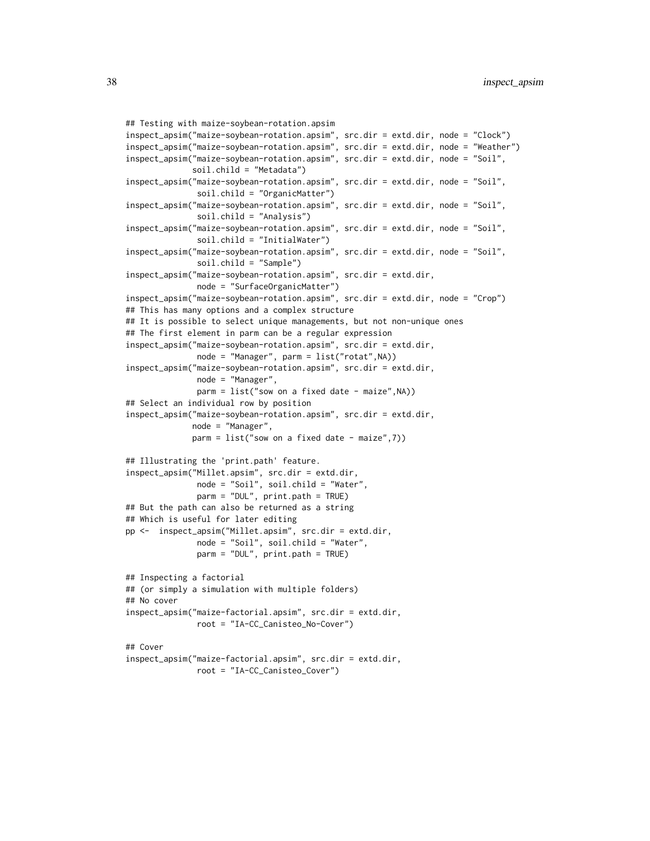```
## Testing with maize-soybean-rotation.apsim
inspect_apsim("maize-soybean-rotation.apsim", src.dir = extd.dir, node = "Clock")
inspect_apsim("maize-soybean-rotation.apsim", src.dir = extd.dir, node = "Weather")
inspect_apsim("maize-soybean-rotation.apsim", src.dir = extd.dir, node = "Soil",
              soil.child = "Metadata")
inspect_apsim("maize-soybean-rotation.apsim", src.dir = extd.dir, node = "Soil",
               soil.child = "OrganicMatter")
inspect_apsim("maize-soybean-rotation.apsim", src.dir = extd.dir, node = "Soil",
               soil.child = "Analysis")
inspect_apsim("maize-soybean-rotation.apsim", src.dir = extd.dir, node = "Soil",
               soil.child = "InitialWater")
inspect_apsim("maize-soybean-rotation.apsim", src.dir = extd.dir, node = "Soil",
               soil.child = "Sample")
inspect_apsim("maize-soybean-rotation.apsim", src.dir = extd.dir,
               node = "SurfaceOrganicMatter")
inspect_apsim("maize-soybean-rotation.apsim", src.dir = extd.dir, node = "Crop")
## This has many options and a complex structure
## It is possible to select unique managements, but not non-unique ones
## The first element in parm can be a regular expression
inspect_apsim("maize-soybean-rotation.apsim", src.dir = extd.dir,
              node = "Manager", parm = list("rotat",NA))
inspect_apsim("maize-soybean-rotation.apsim", src.dir = extd.dir,
               node = "Manager",
               parm = list("sow on a fixed date - maize",NA))
## Select an individual row by position
inspect_apsim("maize-soybean-rotation.apsim", src.dir = extd.dir,
              node = "Manager",
              parm = list("sow on a fixed date - maize",7))
## Illustrating the 'print.path' feature.
inspect_apsim("Millet.apsim", src.dir = extd.dir,
              node = "Soil", soil.child = "Water",
               parm = "DUL", print.path = TRUE)
## But the path can also be returned as a string
## Which is useful for later editing
pp <- inspect_apsim("Millet.apsim", src.dir = extd.dir,
               node = "Soil", soil.child = "Water",
              parm = "DUL", print.path = TRUE)
## Inspecting a factorial
## (or simply a simulation with multiple folders)
## No cover
inspect_apsim("maize-factorial.apsim", src.dir = extd.dir,
               root = "IA-CC_Canisteo_No-Cover")
## Cover
inspect_apsim("maize-factorial.apsim", src.dir = extd.dir,
              root = "IA-CC_Canisteo_Cover")
```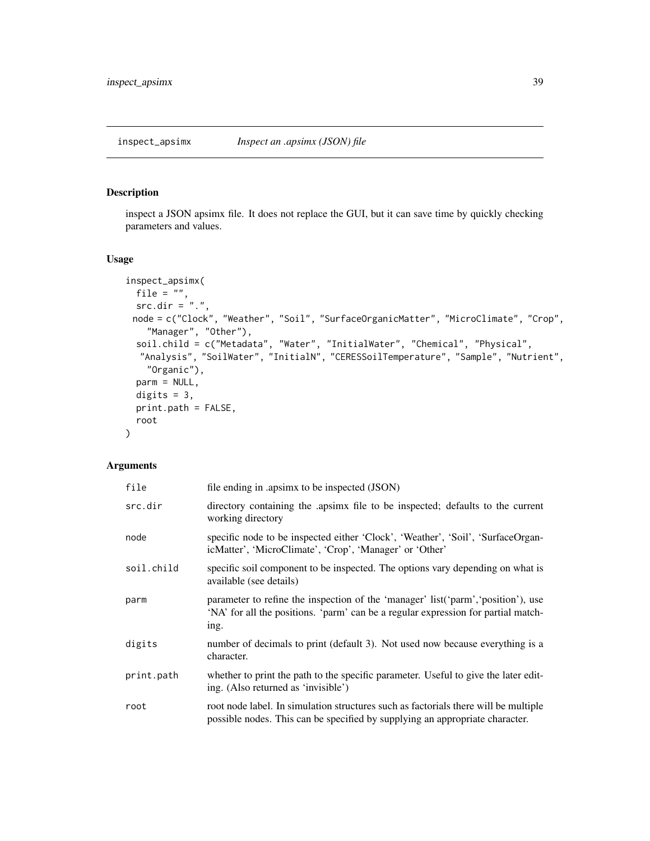<span id="page-38-1"></span><span id="page-38-0"></span>inspect a JSON apsimx file. It does not replace the GUI, but it can save time by quickly checking parameters and values.

### Usage

```
inspect_apsimx(
 file = ",
 src.dim = "."node = c("Clock", "Weather", "Soil", "SurfaceOrganicMatter", "MicroClimate", "Crop",
    "Manager", "Other"),
  soil.child = c("Metadata", "Water", "InitialWater", "Chemical", "Physical",
  "Analysis", "SoilWater", "InitialN", "CERESSoilTemperature", "Sample", "Nutrient",
   "Organic"),
 parm = NULL,
 digits = 3,
 print.path = FALSE,
 root
)
```
### Arguments

| file       | file ending in .apsimx to be inspected (JSON)                                                                                                                                  |
|------------|--------------------------------------------------------------------------------------------------------------------------------------------------------------------------------|
| src.dir    | directory containing the apsimx file to be inspected; defaults to the current<br>working directory                                                                             |
| node       | specific node to be inspected either 'Clock', 'Weather', 'Soil', 'SurfaceOrgan-<br>icMatter', 'MicroClimate', 'Crop', 'Manager' or 'Other'                                     |
| soil.child | specific soil component to be inspected. The options vary depending on what is<br>available (see details)                                                                      |
| parm       | parameter to refine the inspection of the 'manager' list('parm', 'position'), use<br>'NA' for all the positions. 'parm' can be a regular expression for partial match-<br>ing. |
| digits     | number of decimals to print (default 3). Not used now because everything is a<br>character.                                                                                    |
| print.path | whether to print the path to the specific parameter. Useful to give the later edit-<br>ing. (Also returned as 'invisible')                                                     |
| root       | root node label. In simulation structures such as factorials there will be multiple<br>possible nodes. This can be specified by supplying an appropriate character.            |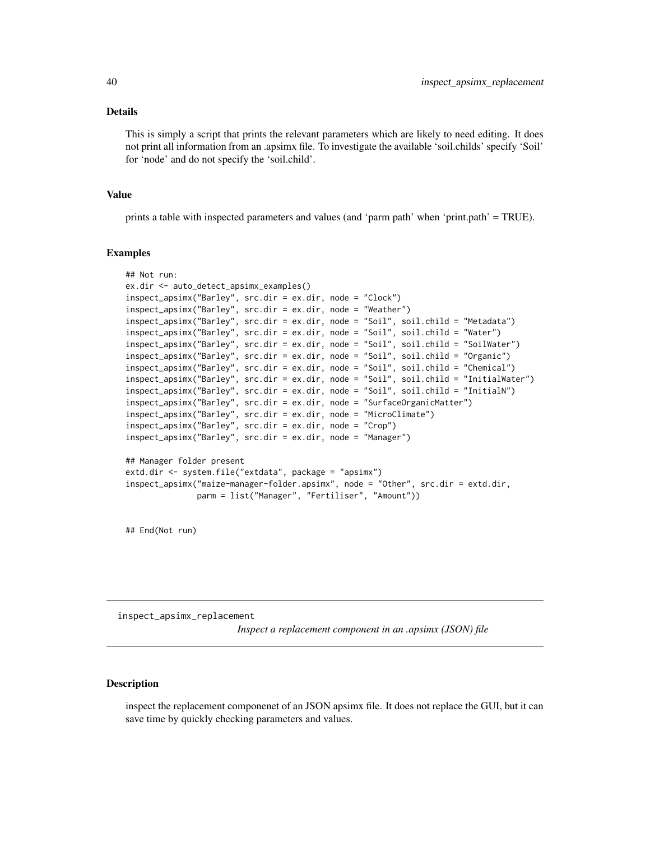#### <span id="page-39-0"></span>Details

This is simply a script that prints the relevant parameters which are likely to need editing. It does not print all information from an .apsimx file. To investigate the available 'soil.childs' specify 'Soil' for 'node' and do not specify the 'soil.child'.

#### Value

prints a table with inspected parameters and values (and 'parm path' when 'print.path' = TRUE).

#### Examples

```
## Not run:
ex.dir <- auto_detect_apsimx_examples()
inspect_apsimx("Barley", src.dir = ex.dir, node = "Clock")
inspect_apsimx("Barley", src.dir = ex.dir, node = "Weather")
inspect_apsimx("Barley", src.dir = ex.dir, node = "Soil", soil.child = "Metadata")
inspect_apsimx("Barley", src.dir = ex.dir, node = "Soil", soil.child = "Water")
inspect_apsimx("Barley", src.dir = ex.dir, node = "Soil", soil.child = "SoilWater")
inspect_apsimx("Barley", src.dir = ex.dir, node = "Soil", soil.child = "Organic")
inspect_apsimx("Barley", src.dir = ex.dir, node = "Soil", soil.child = "Chemical")
inspect_apsimx("Barley", src.dir = ex.dir, node = "Soil", soil.child = "InitialWater")
inspect_apsimx("Barley", src.dir = ex.dir, node = "Soil", soil.child = "InitialN")
inspect_apsimx("Barley", src.dir = ex.dir, node = "SurfaceOrganicMatter")
inspect_apsimx("Barley", src.dir = ex.dir, node = "MicroClimate")
inspect_apsimx("Barley", src.dir = ex.dir, node = "Crop")
inspect_apsimx("Barley", src.dir = ex.dir, node = "Manager")
## Manager folder present
extd.dir <- system.file("extdata", package = "apsimx")
inspect_apsimx("maize-manager-folder.apsimx", node = "Other", src.dir = extd.dir,
              parm = list("Manager", "Fertiliser", "Amount"))
```
## End(Not run)

inspect\_apsimx\_replacement

*Inspect a replacement component in an .apsimx (JSON) file*

#### Description

inspect the replacement componenet of an JSON apsimx file. It does not replace the GUI, but it can save time by quickly checking parameters and values.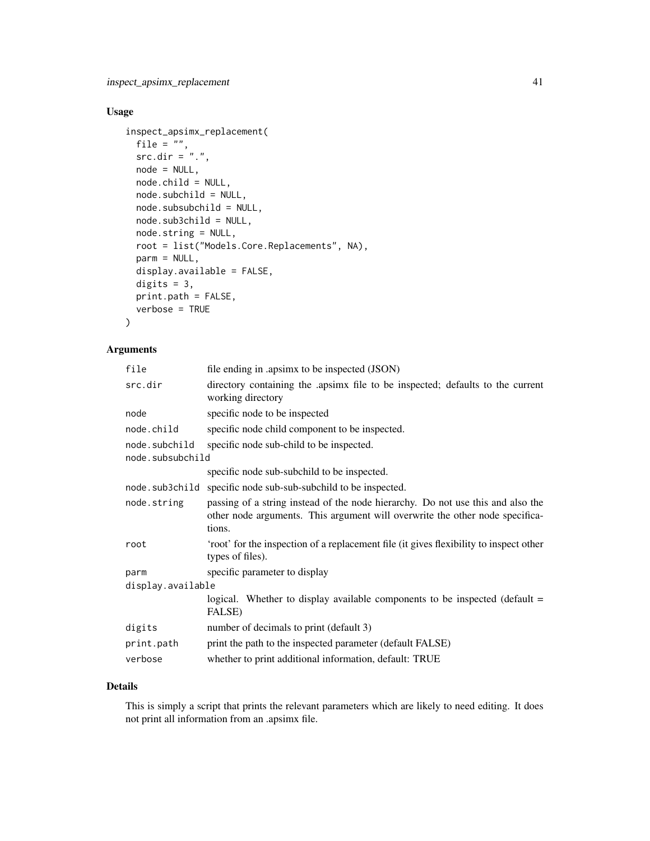### Usage

```
inspect_apsimx_replacement(
  file = ",
  src.dim = "."node = NULL,
 node.child = NULL,
 node.subchild = NULL,
 node.subsubchild = NULL,
 node.sub3child = NULL,
 node.string = NULL,
 root = list("Models.Core.Replacements", NA),
 parm = NULL,
 display.available = FALSE,
 digits = 3,
 print.path = FALSE,
 verbose = TRUE
)
```
### Arguments

| file                              | file ending in .apsimx to be inspected (JSON)                                                                                                                             |  |
|-----------------------------------|---------------------------------------------------------------------------------------------------------------------------------------------------------------------------|--|
| src.dir                           | directory containing the apsimx file to be inspected; defaults to the current<br>working directory                                                                        |  |
| node                              | specific node to be inspected                                                                                                                                             |  |
| node.child                        | specific node child component to be inspected.                                                                                                                            |  |
| node.subchild<br>node.subsubchild | specific node sub-child to be inspected.                                                                                                                                  |  |
|                                   | specific node sub-subchild to be inspected.                                                                                                                               |  |
|                                   | node.sub3child specific node sub-sub-subchild to be inspected.                                                                                                            |  |
| node.string                       | passing of a string instead of the node hierarchy. Do not use this and also the<br>other node arguments. This argument will overwrite the other node specifica-<br>tions. |  |
| root                              | 'root' for the inspection of a replacement file (it gives flexibility to inspect other<br>types of files).                                                                |  |
| parm                              | specific parameter to display                                                                                                                                             |  |
| display.available                 |                                                                                                                                                                           |  |
|                                   | logical. Whether to display available components to be inspected (default $=$<br>FALSE)                                                                                   |  |
| digits                            | number of decimals to print (default 3)                                                                                                                                   |  |
| print.path                        | print the path to the inspected parameter (default FALSE)                                                                                                                 |  |
| verbose                           | whether to print additional information, default: TRUE                                                                                                                    |  |
|                                   |                                                                                                                                                                           |  |

### Details

This is simply a script that prints the relevant parameters which are likely to need editing. It does not print all information from an .apsimx file.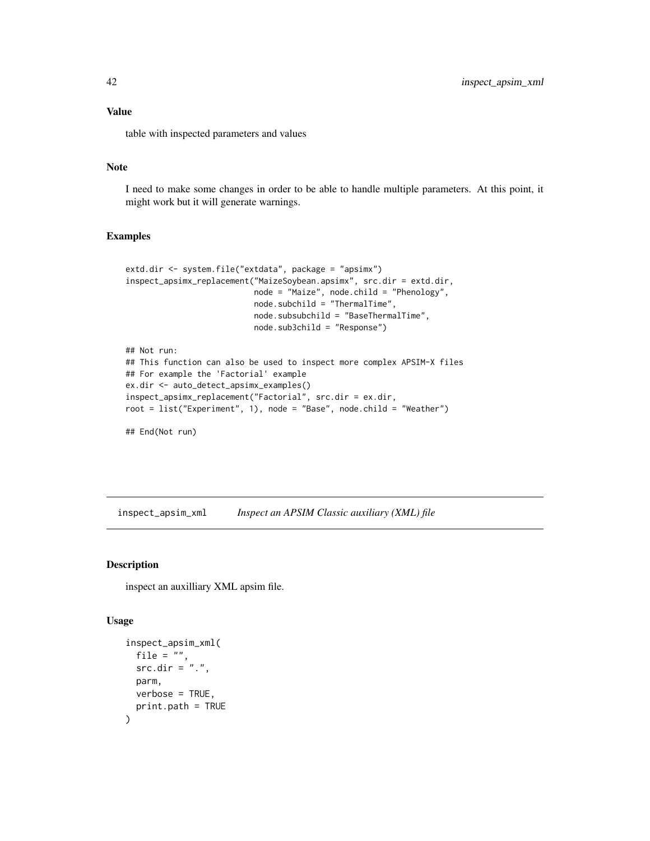### Value

table with inspected parameters and values

#### Note

I need to make some changes in order to be able to handle multiple parameters. At this point, it might work but it will generate warnings.

#### Examples

```
extd.dir <- system.file("extdata", package = "apsimx")
inspect_apsimx_replacement("MaizeSoybean.apsimx", src.dir = extd.dir,
                           node = "Maize", node.child = "Phenology",
                           node.subchild = "ThermalTime",
                           node.subsubchild = "BaseThermalTime",
                           node.sub3child = "Response")
## Not run:
## This function can also be used to inspect more complex APSIM-X files
## For example the 'Factorial' example
ex.dir <- auto_detect_apsimx_examples()
inspect_apsimx_replacement("Factorial", src.dir = ex.dir,
```

```
root = list("Experiment", 1), node = "Base", node.child = "Weather")
```
## End(Not run)

<span id="page-41-1"></span>inspect\_apsim\_xml *Inspect an APSIM Classic auxiliary (XML) file*

#### Description

inspect an auxilliary XML apsim file.

#### Usage

```
inspect_apsim_xml(
 file = ",
 src-dir = "."parm,
 verbose = TRUE,
 print.path = TRUE
)
```
<span id="page-41-0"></span>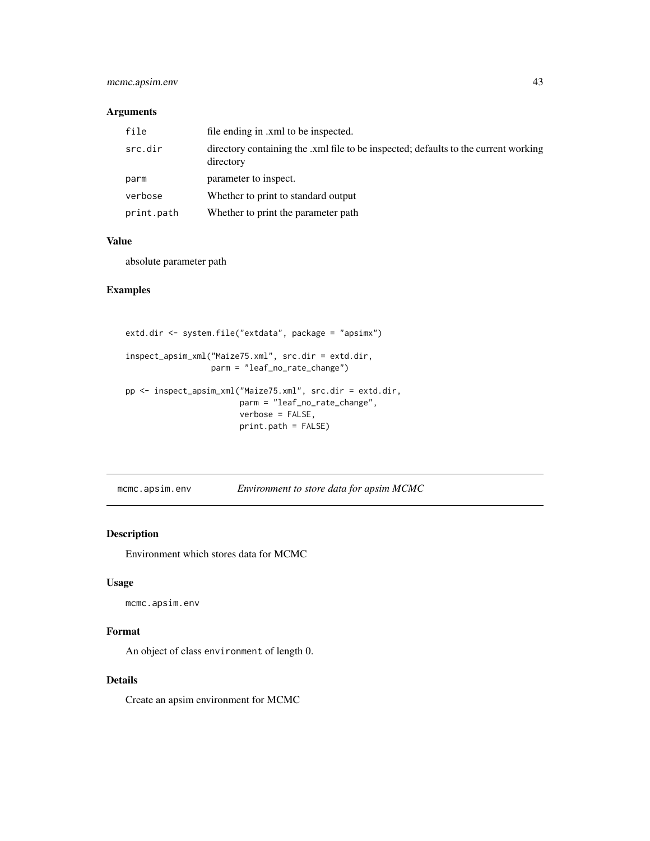### <span id="page-42-0"></span>mcmc.apsim.env 43

#### Arguments

| file       | file ending in .xml to be inspected.                                                             |
|------------|--------------------------------------------------------------------------------------------------|
| src.dir    | directory containing the .xml file to be inspected; defaults to the current working<br>directory |
| parm       | parameter to inspect.                                                                            |
| verbose    | Whether to print to standard output                                                              |
| print.path | Whether to print the parameter path                                                              |

#### Value

absolute parameter path

### Examples

```
extd.dir <- system.file("extdata", package = "apsimx")
inspect_apsim_xml("Maize75.xml", src.dir = extd.dir,
                  parm = "leaf_no_rate_change")
pp <- inspect_apsim_xml("Maize75.xml", src.dir = extd.dir,
                        parm = "leaf_no_rate_change",
                        verbose = FALSE,
                        print.path = FALSE)
```
mcmc.apsim.env *Environment to store data for apsim MCMC*

### Description

Environment which stores data for MCMC

#### Usage

mcmc.apsim.env

#### Format

An object of class environment of length 0.

### Details

Create an apsim environment for MCMC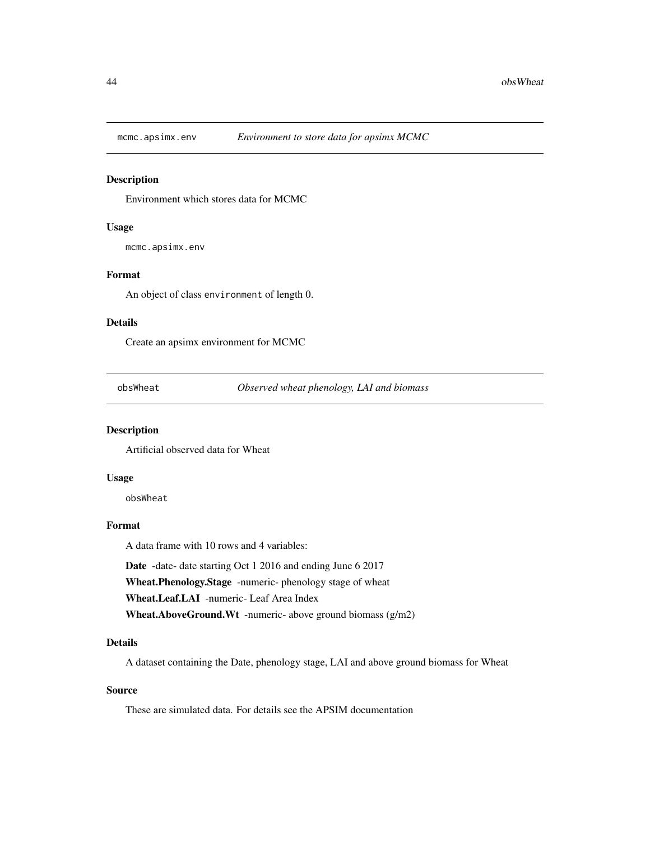<span id="page-43-0"></span>

Environment which stores data for MCMC

### Usage

mcmc.apsimx.env

### Format

An object of class environment of length 0.

#### Details

Create an apsimx environment for MCMC

obsWheat *Observed wheat phenology, LAI and biomass*

### Description

Artificial observed data for Wheat

#### Usage

obsWheat

### Format

A data frame with 10 rows and 4 variables:

Date -date- date starting Oct 1 2016 and ending June 6 2017 Wheat.Phenology.Stage -numeric- phenology stage of wheat Wheat.Leaf.LAI -numeric- Leaf Area Index Wheat.AboveGround.Wt -numeric- above ground biomass (g/m2)

#### Details

A dataset containing the Date, phenology stage, LAI and above ground biomass for Wheat

### Source

These are simulated data. For details see the APSIM documentation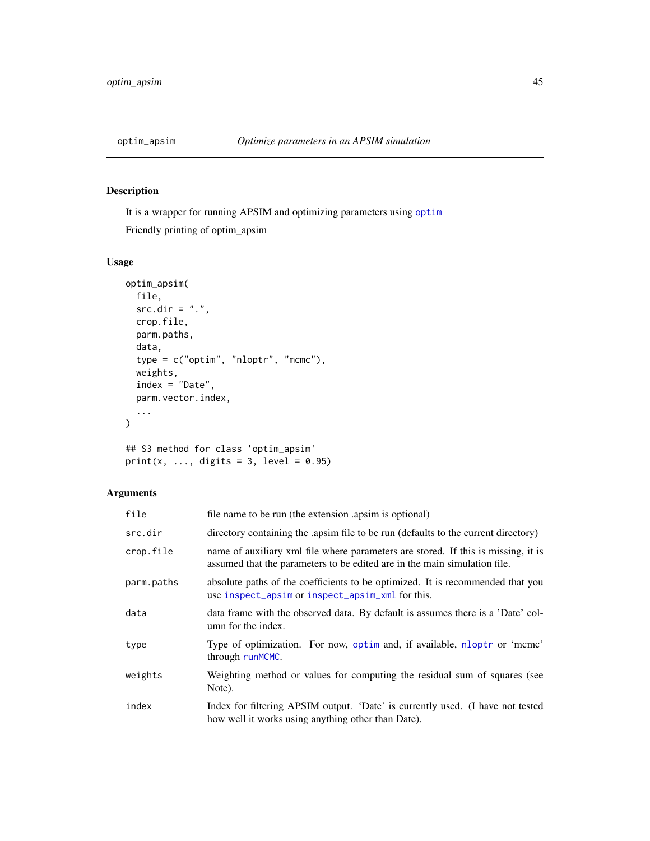<span id="page-44-0"></span>

It is a wrapper for running APSIM and optimizing parameters using [optim](#page-0-0)

Friendly printing of optim\_apsim

### Usage

```
optim_apsim(
 file,
 src.dim = "."crop.file,
 parm.paths,
 data,
 type = c("optim", "nloptr", "mcmc"),
 weights,
 index = "Date",
 parm.vector.index,
  ...
)
## S3 method for class 'optim_apsim'
```
print(x, ..., digits = 3, level =  $0.95$ )

### Arguments

| file       | file name to be run (the extension apsim is optional)                                                                                                          |
|------------|----------------------------------------------------------------------------------------------------------------------------------------------------------------|
| src.dir    | directory containing the apsim file to be run (defaults to the current directory)                                                                              |
| crop.file  | name of auxiliary xml file where parameters are stored. If this is missing, it is<br>assumed that the parameters to be edited are in the main simulation file. |
| parm.paths | absolute paths of the coefficients to be optimized. It is recommended that you<br>use inspect_apsim or inspect_apsim_xml for this.                             |
| data       | data frame with the observed data. By default is assumes there is a 'Date' col-<br>umn for the index.                                                          |
| type       | Type of optimization. For now, optim and, if available, nloptr or 'mcmc'<br>through runMCMC.                                                                   |
| weights    | Weighting method or values for computing the residual sum of squares (see<br>Note).                                                                            |
| index      | Index for filtering APSIM output. 'Date' is currently used. (I have not tested<br>how well it works using anything other than Date).                           |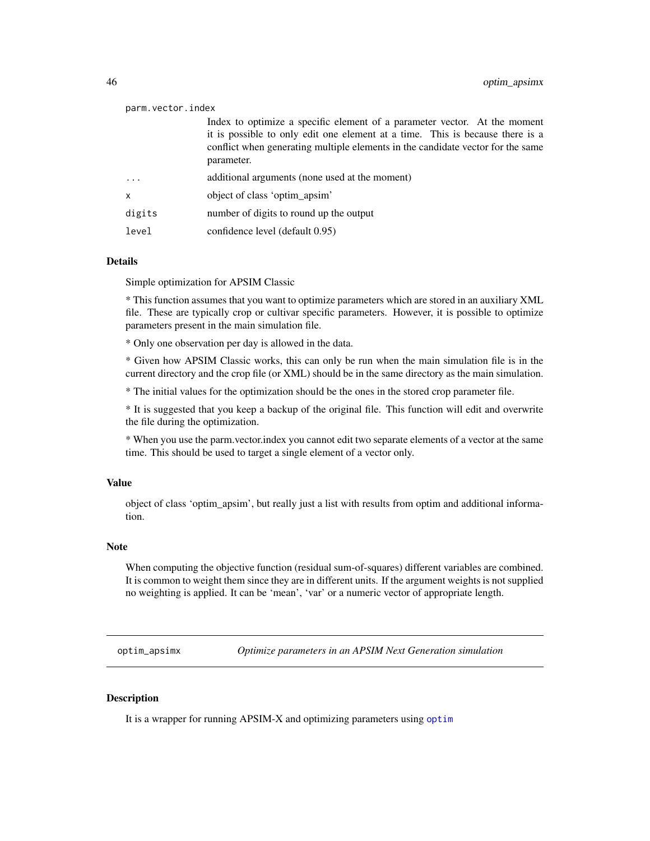#### <span id="page-45-0"></span>parm.vector.index

|           | Index to optimize a specific element of a parameter vector. At the moment                     |
|-----------|-----------------------------------------------------------------------------------------------|
|           | it is possible to only edit one element at a time. This is because there is a                 |
|           | conflict when generating multiple elements in the candidate vector for the same<br>parameter. |
| $\ddotsc$ | additional arguments (none used at the moment)                                                |
| X         | object of class 'optim apsim'                                                                 |
| digits    | number of digits to round up the output                                                       |
| level     | confidence level (default 0.95)                                                               |

#### Details

Simple optimization for APSIM Classic

\* This function assumes that you want to optimize parameters which are stored in an auxiliary XML file. These are typically crop or cultivar specific parameters. However, it is possible to optimize parameters present in the main simulation file.

\* Only one observation per day is allowed in the data.

\* Given how APSIM Classic works, this can only be run when the main simulation file is in the current directory and the crop file (or XML) should be in the same directory as the main simulation.

\* The initial values for the optimization should be the ones in the stored crop parameter file.

\* It is suggested that you keep a backup of the original file. This function will edit and overwrite the file during the optimization.

\* When you use the parm.vector.index you cannot edit two separate elements of a vector at the same time. This should be used to target a single element of a vector only.

#### Value

object of class 'optim\_apsim', but really just a list with results from optim and additional information.

#### Note

When computing the objective function (residual sum-of-squares) different variables are combined. It is common to weight them since they are in different units. If the argument weights is not supplied no weighting is applied. It can be 'mean', 'var' or a numeric vector of appropriate length.

optim\_apsimx *Optimize parameters in an APSIM Next Generation simulation*

### **Description**

It is a wrapper for running APSIM-X and optimizing parameters using [optim](#page-0-0)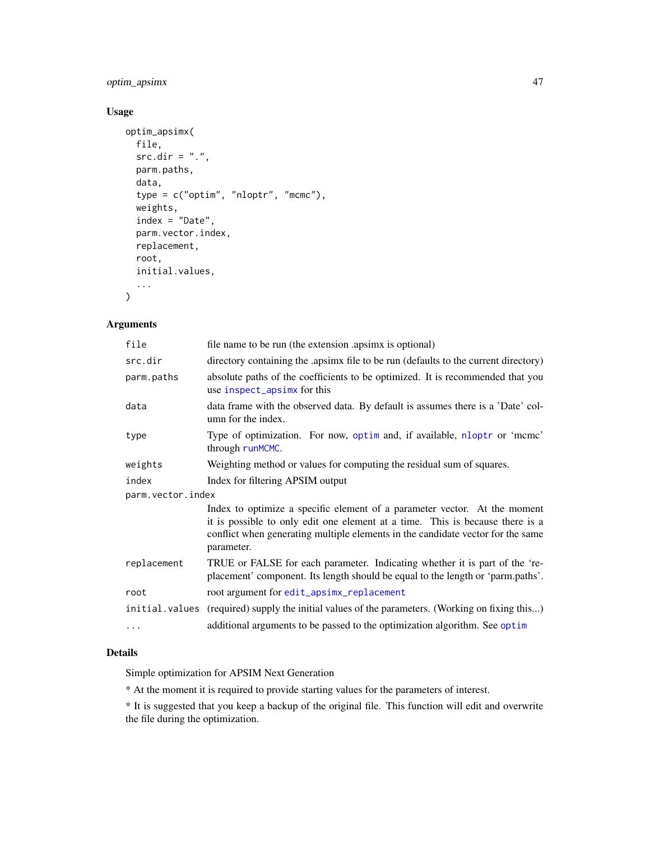### <span id="page-46-0"></span>optim\_apsimx 47

### Usage

```
optim_apsimx(
 file,
 src.dim = "."parm.paths,
 data,
  type = c("optim", "nloptr", "mcmc"),weights,
 index = "Date",
 parm.vector.index,
 replacement,
 root,
 initial.values,
  ...
)
```
### Arguments

| file              | file name to be run (the extension apsimx is optional)                                                                                                                                                                                                      |  |  |
|-------------------|-------------------------------------------------------------------------------------------------------------------------------------------------------------------------------------------------------------------------------------------------------------|--|--|
| src.dir           | directory containing the .apsimx file to be run (defaults to the current directory)                                                                                                                                                                         |  |  |
| parm.paths        | absolute paths of the coefficients to be optimized. It is recommended that you<br>use inspect_apsimx for this                                                                                                                                               |  |  |
| data              | data frame with the observed data. By default is assumes there is a 'Date' col-<br>umn for the index.                                                                                                                                                       |  |  |
| type              | Type of optimization. For now, optim and, if available, nloptr or 'mcmc'<br>through runMCMC.                                                                                                                                                                |  |  |
| weights           | Weighting method or values for computing the residual sum of squares.                                                                                                                                                                                       |  |  |
| index             | Index for filtering APSIM output                                                                                                                                                                                                                            |  |  |
| parm.vector.index |                                                                                                                                                                                                                                                             |  |  |
|                   | Index to optimize a specific element of a parameter vector. At the moment<br>it is possible to only edit one element at a time. This is because there is a<br>conflict when generating multiple elements in the candidate vector for the same<br>parameter. |  |  |
| replacement       | TRUE or FALSE for each parameter. Indicating whether it is part of the 're-<br>placement' component. Its length should be equal to the length or 'parm.paths'.                                                                                              |  |  |
| root              | root argument for edit_apsimx_replacement                                                                                                                                                                                                                   |  |  |
| initial.values    | (required) supply the initial values of the parameters. (Working on fixing this)                                                                                                                                                                            |  |  |
| $\cdots$          | additional arguments to be passed to the optimization algorithm. See optim                                                                                                                                                                                  |  |  |
|                   |                                                                                                                                                                                                                                                             |  |  |

### Details

Simple optimization for APSIM Next Generation

\* At the moment it is required to provide starting values for the parameters of interest.

\* It is suggested that you keep a backup of the original file. This function will edit and overwrite the file during the optimization.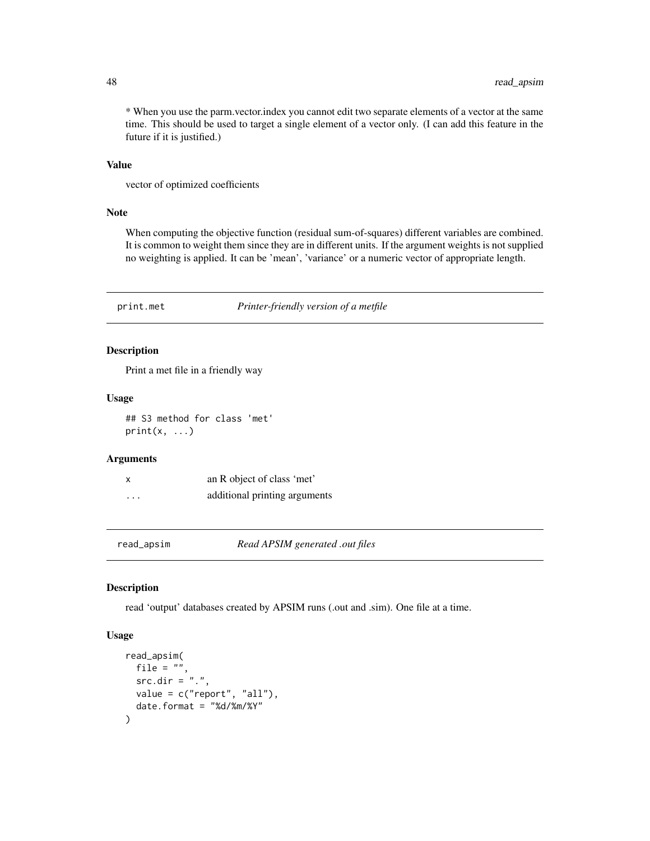\* When you use the parm.vector.index you cannot edit two separate elements of a vector at the same time. This should be used to target a single element of a vector only. (I can add this feature in the future if it is justified.)

### Value

vector of optimized coefficients

#### Note

When computing the objective function (residual sum-of-squares) different variables are combined. It is common to weight them since they are in different units. If the argument weights is not supplied no weighting is applied. It can be 'mean', 'variance' or a numeric vector of appropriate length.

print.met *Printer-friendly version of a metfile*

### Description

Print a met file in a friendly way

#### Usage

## S3 method for class 'met'  $print(x, \ldots)$ 

#### Arguments

| x | an R object of class 'met'    |
|---|-------------------------------|
| . | additional printing arguments |

<span id="page-47-1"></span>read\_apsim *Read APSIM generated .out files*

#### Description

read 'output' databases created by APSIM runs (.out and .sim). One file at a time.

### Usage

```
read_apsim(
 file = ",
 src-dir = "."value = c("report", "all"),
 date.format = "%d/%m/%Y"
)
```
<span id="page-47-0"></span>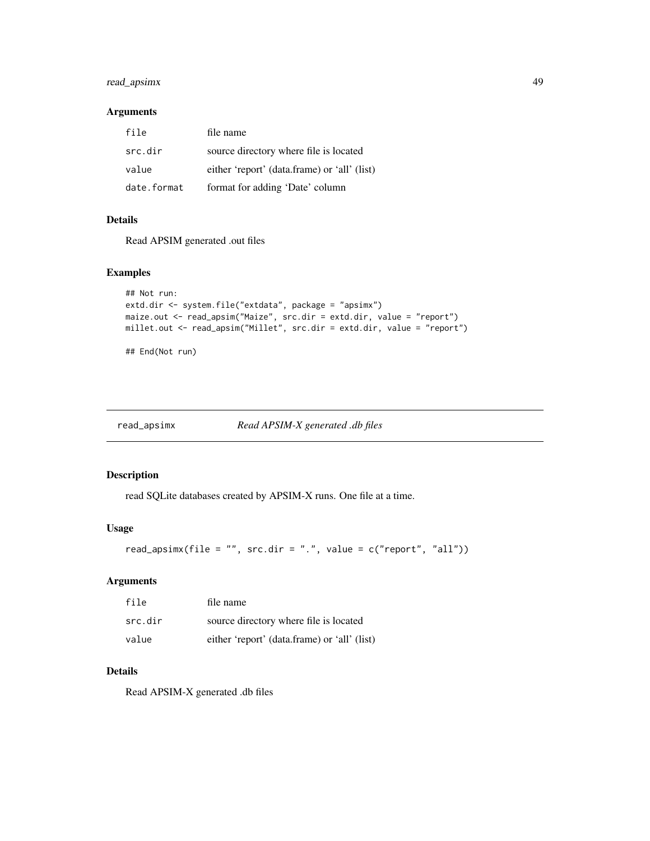### <span id="page-48-0"></span>read\_apsimx 49

#### Arguments

| file        | file name                                    |
|-------------|----------------------------------------------|
| src.dir     | source directory where file is located       |
| value       | either 'report' (data.frame) or 'all' (list) |
| date.format | format for adding 'Date' column              |

### Details

Read APSIM generated .out files

### Examples

```
## Not run:
extd.dir <- system.file("extdata", package = "apsimx")
maize.out <- read_apsim("Maize", src.dir = extd.dir, value = "report")
millet.out <- read_apsim("Millet", src.dir = extd.dir, value = "report")
```
## End(Not run)

<span id="page-48-1"></span>read\_apsimx *Read APSIM-X generated .db files*

### Description

read SQLite databases created by APSIM-X runs. One file at a time.

### Usage

```
read_apsimx(file = "", src.dir = ".", value = c("report", "all"))
```
### Arguments

| file    | file name                                    |
|---------|----------------------------------------------|
| src.dir | source directory where file is located       |
| value   | either 'report' (data.frame) or 'all' (list) |

### Details

Read APSIM-X generated .db files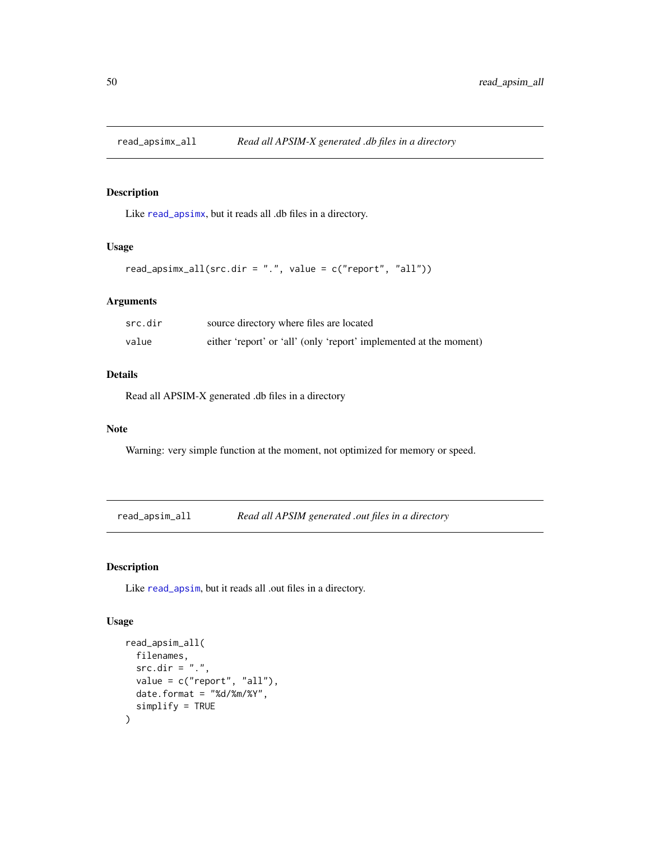<span id="page-49-0"></span>

Like [read\\_apsimx](#page-48-1), but it reads all .db files in a directory.

#### Usage

```
read_apsimx_all(src.dir = ".", value = c("report", "all"))
```
### Arguments

| src.dir | source directory where files are located                           |
|---------|--------------------------------------------------------------------|
| value   | either 'report' or 'all' (only 'report' implemented at the moment) |

### Details

Read all APSIM-X generated .db files in a directory

#### Note

Warning: very simple function at the moment, not optimized for memory or speed.

read\_apsim\_all *Read all APSIM generated .out files in a directory*

### Description

Like [read\\_apsim](#page-47-1), but it reads all .out files in a directory.

### Usage

```
read_apsim_all(
  filenames,
  src.dim = "."value = c("report", "all"),date.format = "%d/%m/%Y",
  simplify = TRUE
\mathcal{E}
```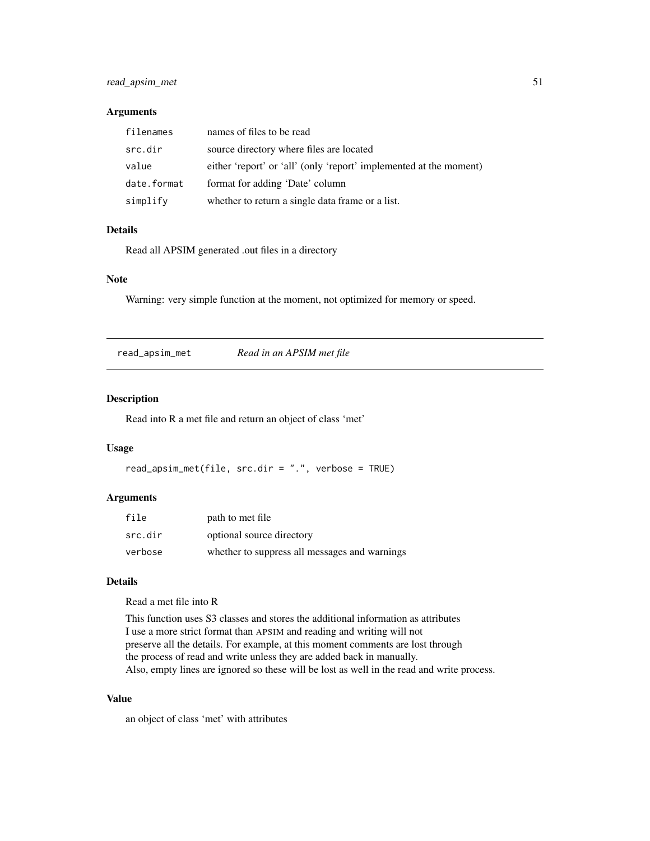### <span id="page-50-0"></span>read\_apsim\_met 51

### Arguments

| filenames   | names of files to be read                                          |
|-------------|--------------------------------------------------------------------|
| src.dir     | source directory where files are located                           |
| value       | either 'report' or 'all' (only 'report' implemented at the moment) |
| date.format | format for adding 'Date' column                                    |
| simplify    | whether to return a single data frame or a list.                   |

### Details

Read all APSIM generated .out files in a directory

### Note

Warning: very simple function at the moment, not optimized for memory or speed.

read\_apsim\_met *Read in an APSIM met file*

#### Description

Read into R a met file and return an object of class 'met'

### Usage

```
read_apsim_met(file, src.dir = ".", verbose = TRUE)
```
### Arguments

| file    | path to met file                              |
|---------|-----------------------------------------------|
| src.dir | optional source directory                     |
| verbose | whether to suppress all messages and warnings |

### Details

Read a met file into R

This function uses S3 classes and stores the additional information as attributes I use a more strict format than APSIM and reading and writing will not preserve all the details. For example, at this moment comments are lost through the process of read and write unless they are added back in manually. Also, empty lines are ignored so these will be lost as well in the read and write process.

### Value

an object of class 'met' with attributes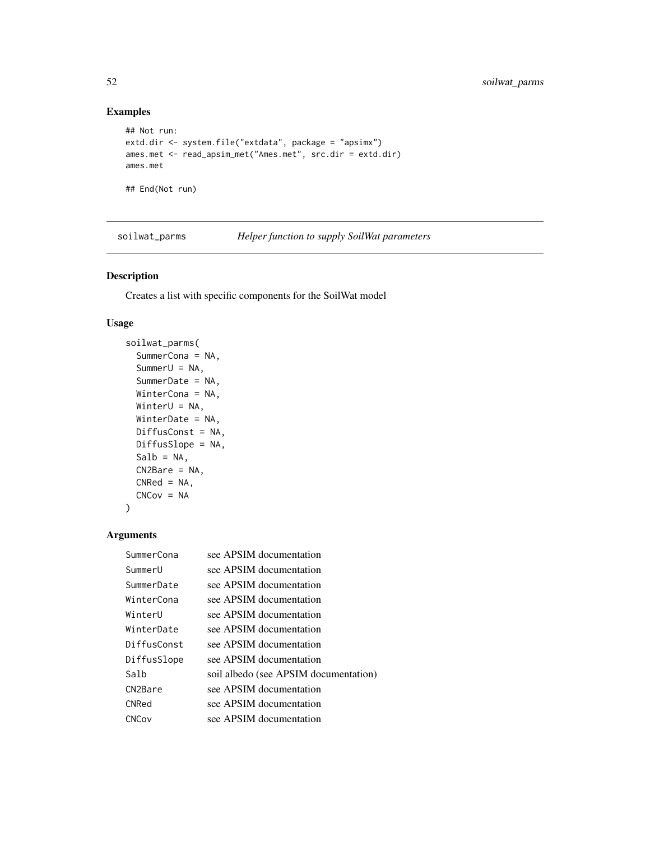### Examples

```
## Not run:
extd.dir <- system.file("extdata", package = "apsimx")
ames.met <- read_apsim_met("Ames.met", src.dir = extd.dir)
ames.met
```
## End(Not run)

soilwat\_parms *Helper function to supply SoilWat parameters*

### Description

Creates a list with specific components for the SoilWat model

#### Usage

```
soilwat_parms(
  SummerCona = NA,
  SummerU = NA,
 SummerDate = NA,
 WinterCona = NA,
 WinterU = NA,
 WinterDate = NA,
 DiffusConst = NA,
 DiffusSlope = NA,
 Salb = NA,
 CN2Bare = NA,
 CNRed = NA,
 CNCov = NA\mathcal{L}
```
#### Arguments

| SummerCona  | see APSIM documentation               |
|-------------|---------------------------------------|
| SummerU     | see APSIM documentation               |
| SummerDate  | see APSIM documentation               |
| WinterCona  | see APSIM documentation               |
| WinterU     | see APSIM documentation               |
| WinterDate  | see APSIM documentation               |
| DiffusConst | see APSIM documentation               |
| DiffusSlope | see APSIM documentation               |
| Salb        | soil albedo (see APSIM documentation) |
| CN2Bare     | see APSIM documentation               |
| CNRed       | see APSIM documentation               |
| CNCov       | see APSIM documentation               |

<span id="page-51-0"></span>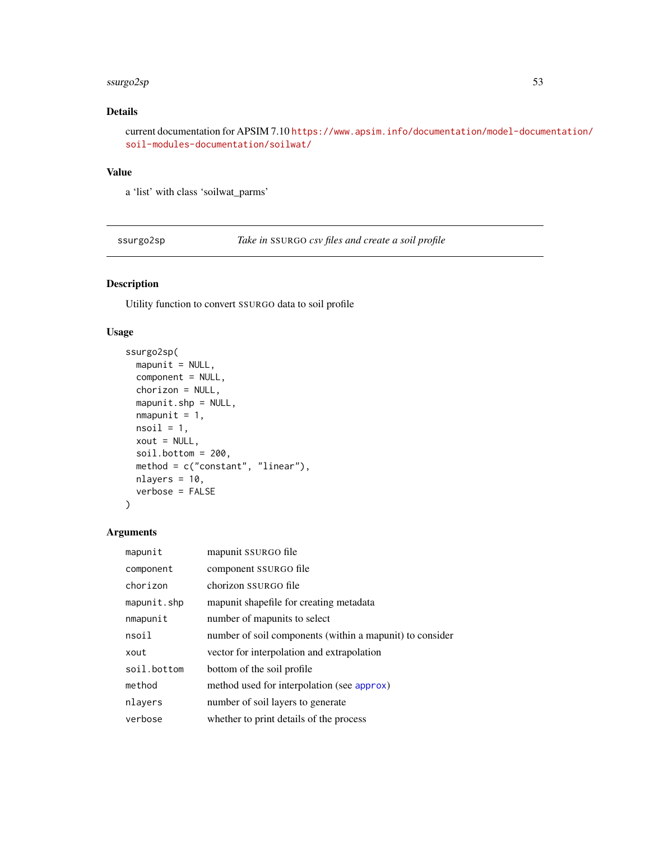#### <span id="page-52-0"></span>ssurgo2sp 53

### Details

current documentation for APSIM 7.10 [https://www.apsim.info/documentation/model-docum](https://www.apsim.info/documentation/model-documentation/soil-modules-documentation/soilwat/)entation/ [soil-modules-documentation/soilwat/](https://www.apsim.info/documentation/model-documentation/soil-modules-documentation/soilwat/)

### Value

a 'list' with class 'soilwat\_parms'

ssurgo2sp *Take in* SSURGO *csv files and create a soil profile*

### Description

Utility function to convert SSURGO data to soil profile

### Usage

```
ssurgo2sp(
 mapunit = NULL,component = NULL,
 chorizon = NULL,
 mapunit.shp = NULL,
 mmapunit = 1,
 nsoil = 1,xout = NULL,soil.bottom = 200,
 method = c("constant", "linear"),
 nlayers = 10,
 verbose = FALSE
\lambda
```
### Arguments

| mapunit     | mapunit SSURGO file                                      |
|-------------|----------------------------------------------------------|
| component   | component SSURGO file                                    |
| chorizon    | chorizon SSURGO file                                     |
| mapunit.shp | mapunit shapefile for creating metadata                  |
| nmapunit    | number of mapunits to select                             |
| nsoil       | number of soil components (within a mapunit) to consider |
| xout        | vector for interpolation and extrapolation               |
| soil.bottom | bottom of the soil profile                               |
| method      | method used for interpolation (see approx)               |
| nlayers     | number of soil layers to generate                        |
| verbose     | whether to print details of the process                  |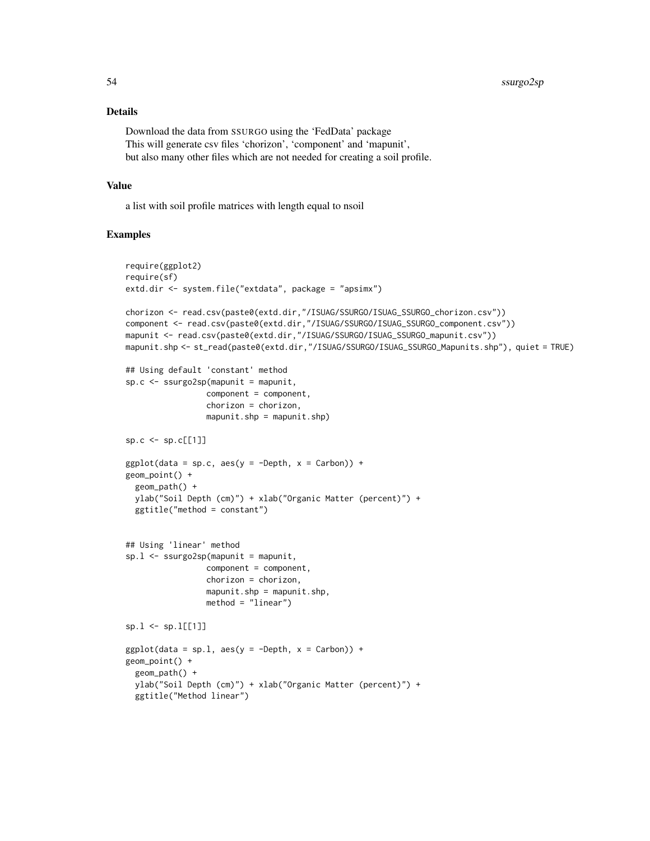### Details

Download the data from SSURGO using the 'FedData' package This will generate csv files 'chorizon', 'component' and 'mapunit', but also many other files which are not needed for creating a soil profile.

### Value

a list with soil profile matrices with length equal to nsoil

#### Examples

```
require(ggplot2)
require(sf)
extd.dir <- system.file("extdata", package = "apsimx")
chorizon <- read.csv(paste0(extd.dir,"/ISUAG/SSURGO/ISUAG_SSURGO_chorizon.csv"))
component <- read.csv(paste0(extd.dir,"/ISUAG/SSURGO/ISUAG_SSURGO_component.csv"))
mapunit <- read.csv(paste0(extd.dir,"/ISUAG/SSURGO/ISUAG_SSURGO_mapunit.csv"))
mapunit.shp <- st_read(paste0(extd.dir,"/ISUAG/SSURGO/ISUAG_SSURGO_Mapunits.shp"), quiet = TRUE)
## Using default 'constant' method
sp.c <- ssurgo2sp(mapunit = mapunit,
                 component = component,
                 chorizon = chorizon,
                 mapunit.shp = mapunit.shp)sp.c \le sp.c[[1]]
ggplot(data = sp.c, aes(y = -Depth, x = Carbon)) +geom_point() +
  geom_path() +
  ylab("Soil Depth (cm)") + xlab("Organic Matter (percent)") +
  ggtitle("method = constant")
## Using 'linear' method
sp.l <- ssurgo2sp(mapunit = mapunit,
                 component = component,chorizon = chorizon,
                 mapunit.shp = mapunit.shp,method = "linear")
sp.1 \leftarrow sp.1[[1]]ggplot(data = sp.1, aes(y = -Depth, x = Carbon)) +geom_point() +
  geom_path() +
  ylab("Soil Depth (cm)") + xlab("Organic Matter (percent)") +
  ggtitle("Method linear")
```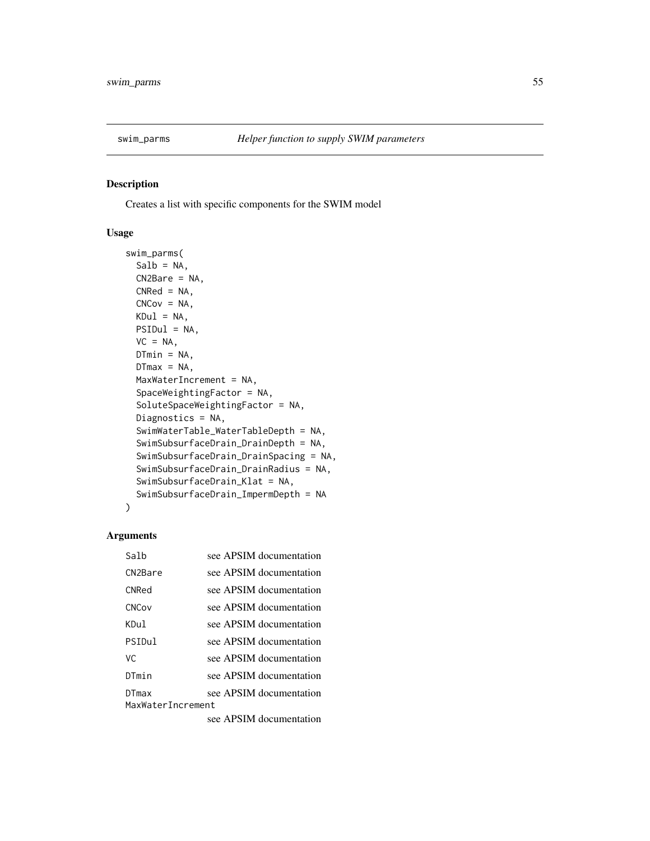<span id="page-54-0"></span>

Creates a list with specific components for the SWIM model

### Usage

```
swim_parms(
  Salb = NA,
  CN2Bare = NA,
  CNRed = NA,
 CNCov = NA,
 KDu1 = NA,
 PSIDul = NA,
  VC = NA.
 D T min = NA,
  DTmax = NA,
  MaxWaterIncrement = NA,
  SpaceWeightingFactor = NA,
  SoluteSpaceWeightingFactor = NA,
  Diagnostics = NA,
  SwimWaterTable_WaterTableDepth = NA,
  SwimSubsurfaceDrain_DrainDepth = NA,
  SwimSubsurfaceDrain_DrainSpacing = NA,
  SwimSubsurfaceDrain_DrainRadius = NA,
  SwimSubsurfaceDrain_Klat = NA,
  SwimSubsurfaceDrain_ImpermDepth = NA
)
```
#### Arguments

| Salb                       | see APSIM documentation |
|----------------------------|-------------------------|
| CN <sub>2</sub> Bare       | see APSIM documentation |
| <b>CNRed</b>               | see APSIM documentation |
| CNCov                      | see APSIM documentation |
| KDu1.                      | see APSIM documentation |
| PSIDul                     | see APSIM documentation |
| VC.                        | see APSIM documentation |
| DTmin                      | see APSIM documentation |
| DTmax<br>MaxWaterIncrement | see APSIM documentation |

see APSIM documentation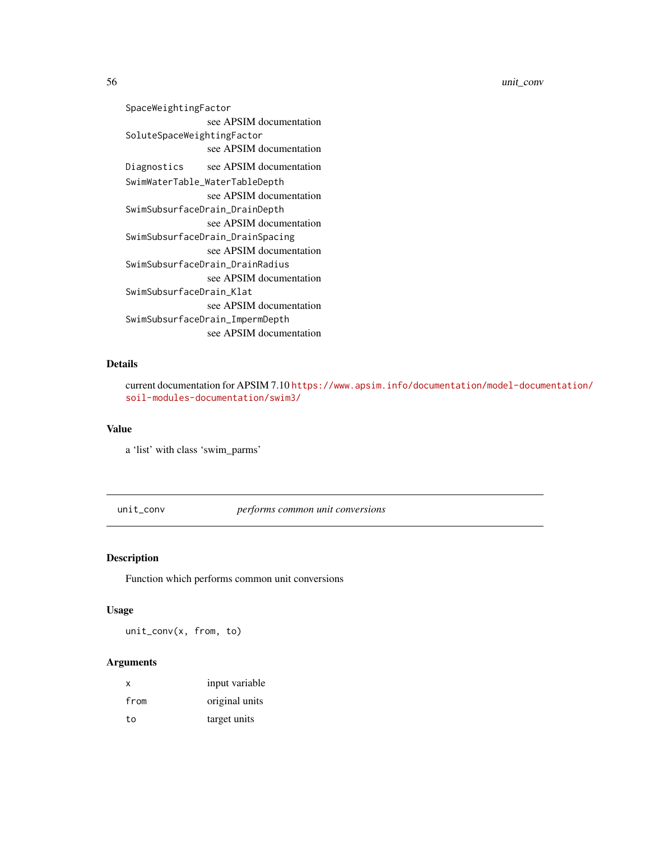```
SpaceWeightingFactor
               see APSIM documentation
SoluteSpaceWeightingFactor
               see APSIM documentation
Diagnostics see APSIM documentation
SwimWaterTable_WaterTableDepth
                see APSIM documentation
SwimSubsurfaceDrain_DrainDepth
                see APSIM documentation
SwimSubsurfaceDrain_DrainSpacing
               see APSIM documentation
SwimSubsurfaceDrain_DrainRadius
               see APSIM documentation
SwimSubsurfaceDrain_Klat
               see APSIM documentation
SwimSubsurfaceDrain_ImpermDepth
               see APSIM documentation
```
### Details

current documentation for APSIM 7.10 [https://www.apsim.info/documentation/model-docum](https://www.apsim.info/documentation/model-documentation/soil-modules-documentation/swim3/)entation/ [soil-modules-documentation/swim3/](https://www.apsim.info/documentation/model-documentation/soil-modules-documentation/swim3/)

#### Value

a 'list' with class 'swim\_parms'

unit\_conv *performs common unit conversions*

#### Description

Function which performs common unit conversions

### Usage

unit\_conv(x, from, to)

### Arguments

| $\boldsymbol{\mathsf{x}}$ | input variable |
|---------------------------|----------------|
| from                      | original units |
| to                        | target units   |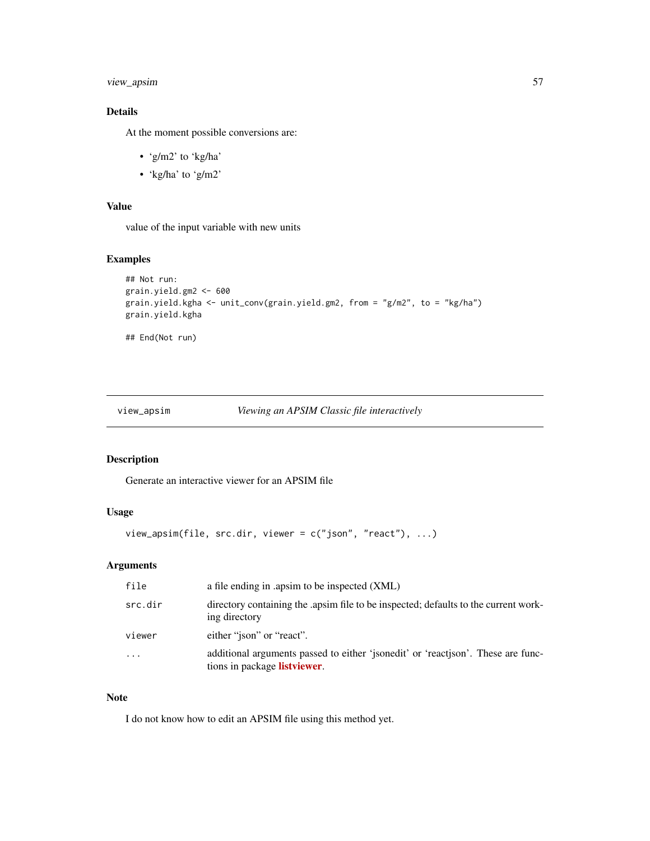### <span id="page-56-0"></span>view\_apsim 57

### Details

At the moment possible conversions are:

- 'g/m2' to 'kg/ha'
- 'kg/ha' to 'g/m2'

### Value

value of the input variable with new units

#### Examples

```
## Not run:
grain.yield.gm2 <- 600
grain.yield.kgha <- unit_conv(grain.yield.gm2, from = "g/m2", to = "kg/ha")
grain.yield.kgha
```
## End(Not run)

### view\_apsim *Viewing an APSIM Classic file interactively*

#### Description

Generate an interactive viewer for an APSIM file

#### Usage

```
view_apsim(file, src.dir, viewer = c("json", "react"), ...)
```
### Arguments

| file       | a file ending in .apsim to be inspected (XML)                                                                            |
|------------|--------------------------------------------------------------------------------------------------------------------------|
| src.dir    | directory containing the apsim file to be inspected; defaults to the current work-<br>ing directory                      |
| viewer     | either "json" or "react".                                                                                                |
| $\ddots$ . | additional arguments passed to either 'isonedit' or 'reactison'. These are func-<br>tions in package <b>listviewer</b> . |

#### Note

I do not know how to edit an APSIM file using this method yet.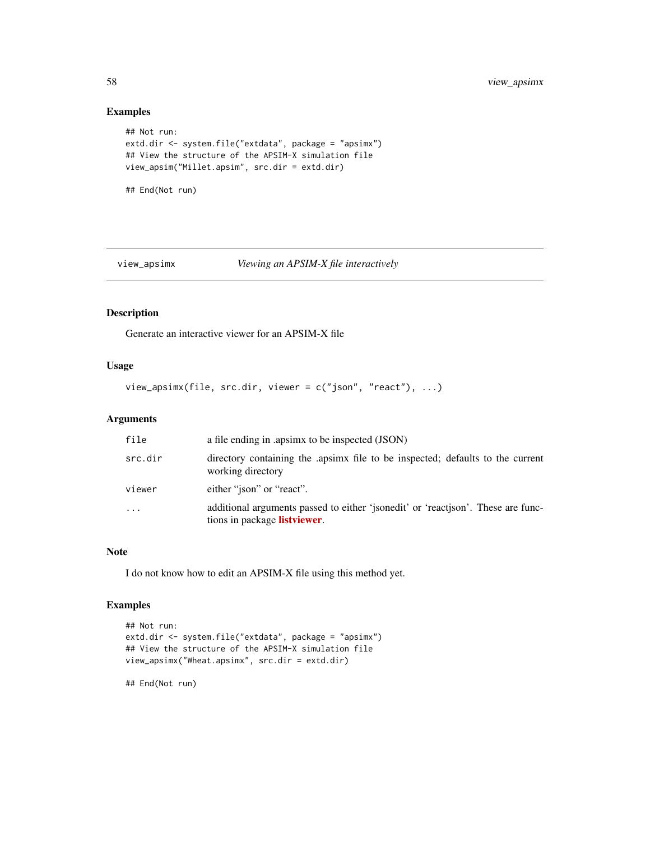### Examples

```
## Not run:
extd.dir <- system.file("extdata", package = "apsimx")
## View the structure of the APSIM-X simulation file
view_apsim("Millet.apsim", src.dir = extd.dir)
## End(Not run)
```
### view\_apsimx *Viewing an APSIM-X file interactively*

### Description

Generate an interactive viewer for an APSIM-X file

### Usage

```
view_apsimx(file, src.dir, viewer = c("json", "react"), ...)
```
### Arguments

| file    | a file ending in .apsimx to be inspected (JSON)                                                                  |
|---------|------------------------------------------------------------------------------------------------------------------|
| src.dir | directory containing the apsimx file to be inspected; defaults to the current<br>working directory               |
| viewer  | either "ison" or "react".                                                                                        |
| .       | additional arguments passed to either 'jsonedit' or 'reactison'. These are func-<br>tions in package listviewer. |

#### Note

I do not know how to edit an APSIM-X file using this method yet.

### Examples

```
## Not run:
extd.dir <- system.file("extdata", package = "apsimx")
## View the structure of the APSIM-X simulation file
view_apsimx("Wheat.apsimx", src.dir = extd.dir)
```
## End(Not run)

<span id="page-57-0"></span>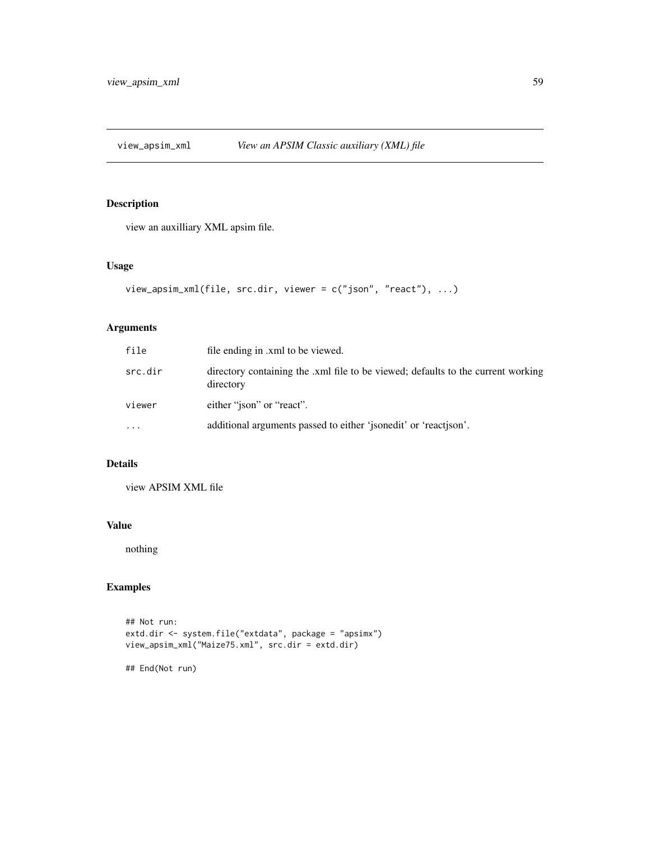<span id="page-58-0"></span>

view an auxilliary XML apsim file.

### Usage

```
view_apsim_xml(file, src.dir, viewer = c("json", "react"), ...)
```
### Arguments

| file     | file ending in .xml to be viewed.                                                             |
|----------|-----------------------------------------------------------------------------------------------|
| src.dir  | directory containing the .xml file to be viewed; defaults to the current working<br>directory |
| viewer   | either "ison" or "react".                                                                     |
| $\cdots$ | additional arguments passed to either 'jsonedit' or 'reactison'.                              |

### Details

view APSIM XML file

### Value

nothing

### Examples

```
## Not run:
extd.dir <- system.file("extdata", package = "apsimx")
view_apsim_xml("Maize75.xml", src.dir = extd.dir)
```
## End(Not run)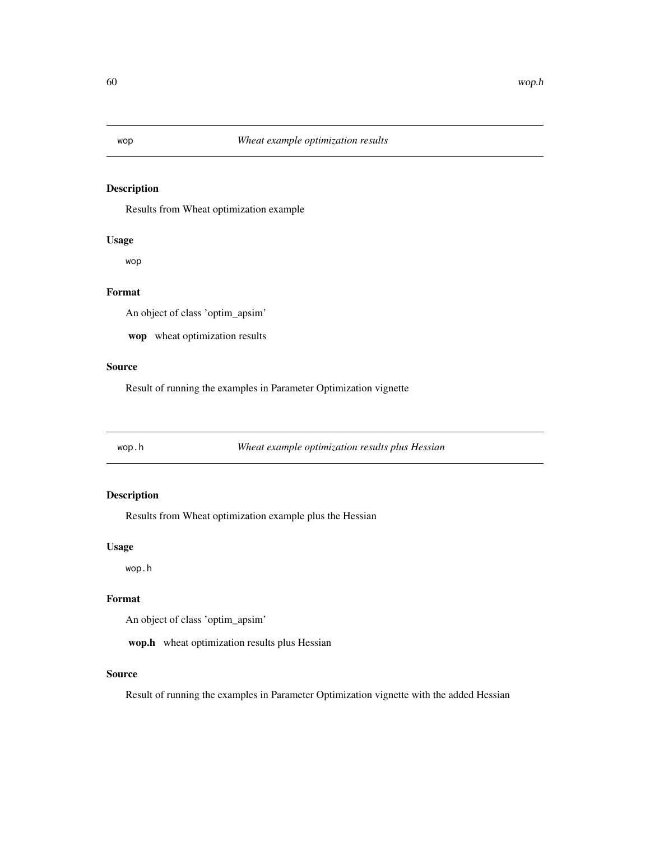<span id="page-59-0"></span>Results from Wheat optimization example

### Usage

wop

### Format

An object of class 'optim\_apsim'

wop wheat optimization results

### Source

Result of running the examples in Parameter Optimization vignette

wop.h *Wheat example optimization results plus Hessian*

### Description

Results from Wheat optimization example plus the Hessian

#### Usage

wop.h

### Format

An object of class 'optim\_apsim'

wop.h wheat optimization results plus Hessian

### Source

Result of running the examples in Parameter Optimization vignette with the added Hessian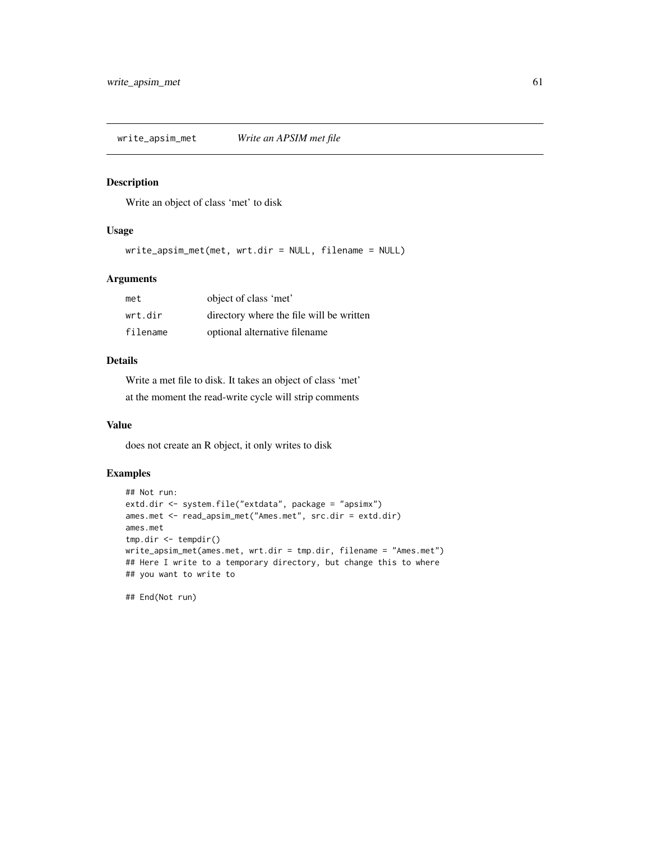<span id="page-60-0"></span>write\_apsim\_met *Write an APSIM met file*

### Description

Write an object of class 'met' to disk

#### Usage

write\_apsim\_met(met, wrt.dir = NULL, filename = NULL)

### Arguments

| met      | object of class 'met'                    |
|----------|------------------------------------------|
| wrt.dir  | directory where the file will be written |
| filename | optional alternative filename            |

### Details

Write a met file to disk. It takes an object of class 'met' at the moment the read-write cycle will strip comments

#### Value

does not create an R object, it only writes to disk

### Examples

```
## Not run:
extd.dir <- system.file("extdata", package = "apsimx")
ames.met <- read_apsim_met("Ames.met", src.dir = extd.dir)
ames.met
tmp.dir <- tempdir()
write_apsim_met(ames.met, wrt.dir = tmp.dir, filename = "Ames.met")
## Here I write to a temporary directory, but change this to where
## you want to write to
```
## End(Not run)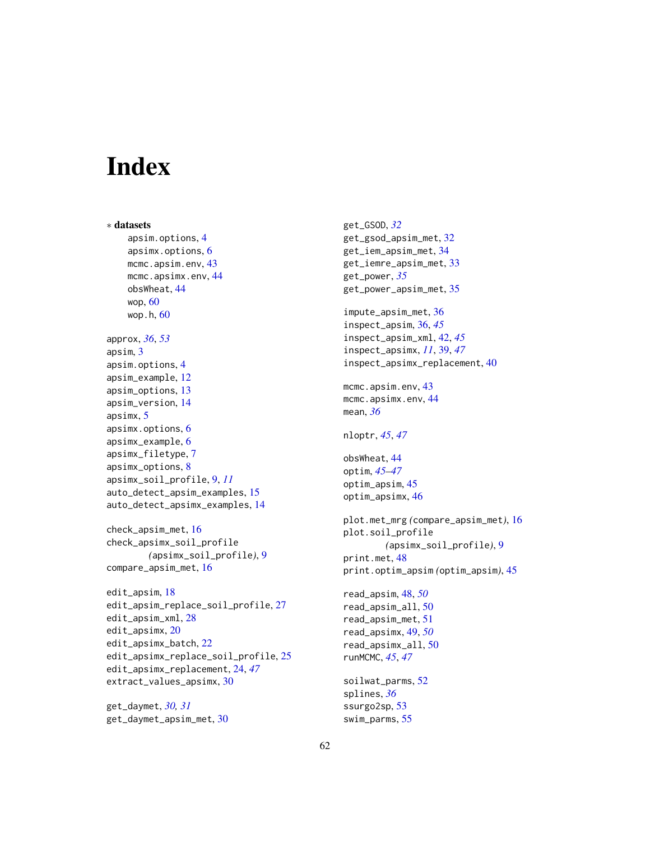# <span id="page-61-0"></span>**Index**

∗ datasets apsim.options, [4](#page-3-0) apsimx.options, [6](#page-5-0) mcmc.apsim.env, [43](#page-42-0) mcmc.apsimx.env, [44](#page-43-0) obsWheat, [44](#page-43-0) wop, [60](#page-59-0) wop.h, [60](#page-59-0) approx, *[36](#page-35-0)*, *[53](#page-52-0)* apsim, [3](#page-2-0) apsim.options, [4](#page-3-0) apsim\_example, [12](#page-11-0) apsim\_options, [13](#page-12-0) apsim\_version, [14](#page-13-0) apsimx, [5](#page-4-0) apsimx.options, [6](#page-5-0) apsimx\_example, [6](#page-5-0) apsimx\_filetype, [7](#page-6-0) apsimx\_options, [8](#page-7-0) apsimx\_soil\_profile, [9,](#page-8-0) *[11](#page-10-0)* auto\_detect\_apsim\_examples, [15](#page-14-0) auto\_detect\_apsimx\_examples, [14](#page-13-0) check\_apsim\_met, [16](#page-15-0) check\_apsimx\_soil\_profile *(*apsimx\_soil\_profile*)*, [9](#page-8-0) compare\_apsim\_met, [16](#page-15-0) edit\_apsim, [18](#page-17-0) edit\_apsim\_replace\_soil\_profile, [27](#page-26-0)

```
edit_apsim_xml, 28
edit_apsimx, 20
edit_apsimx_batch, 22
edit_apsimx_replace_soil_profile, 25
edit_apsimx_replacement, 24, 47
extract_values_apsimx, 30
```
get\_daymet, *[30,](#page-29-0) [31](#page-30-0)* get\_daymet\_apsim\_met, [30](#page-29-0) get\_GSOD, *[32](#page-31-0)* get\_gsod\_apsim\_met, [32](#page-31-0) get\_iem\_apsim\_met, [34](#page-33-0) get\_iemre\_apsim\_met, [33](#page-32-0) get\_power, *[35](#page-34-0)* get\_power\_apsim\_met, [35](#page-34-0) impute\_apsim\_met, [36](#page-35-0) inspect\_apsim, [36,](#page-35-0) *[45](#page-44-0)* inspect\_apsim\_xml, [42,](#page-41-0) *[45](#page-44-0)* inspect\_apsimx, *[11](#page-10-0)*, [39,](#page-38-0) *[47](#page-46-0)* inspect\_apsimx\_replacement, [40](#page-39-0) mcmc.apsim.env, [43](#page-42-0) mcmc.apsimx.env, [44](#page-43-0) mean, *[36](#page-35-0)* nloptr, *[45](#page-44-0)*, *[47](#page-46-0)* obsWheat, [44](#page-43-0) optim, *[45](#page-44-0)[–47](#page-46-0)* optim\_apsim, [45](#page-44-0) optim\_apsimx, [46](#page-45-0) plot.met\_mrg *(*compare\_apsim\_met*)*, [16](#page-15-0) plot.soil\_profile *(*apsimx\_soil\_profile*)*, [9](#page-8-0) print.met, [48](#page-47-0) print.optim\_apsim *(*optim\_apsim*)*, [45](#page-44-0) read\_apsim, [48,](#page-47-0) *[50](#page-49-0)* read\_apsim\_all, [50](#page-49-0) read\_apsim\_met, [51](#page-50-0) read\_apsimx, [49,](#page-48-0) *[50](#page-49-0)* read\_apsimx\_all, [50](#page-49-0) runMCMC, *[45](#page-44-0)*, *[47](#page-46-0)* soilwat\_parms, [52](#page-51-0) splines, *[36](#page-35-0)* ssurgo2sp, [53](#page-52-0) swim\_parms, [55](#page-54-0)